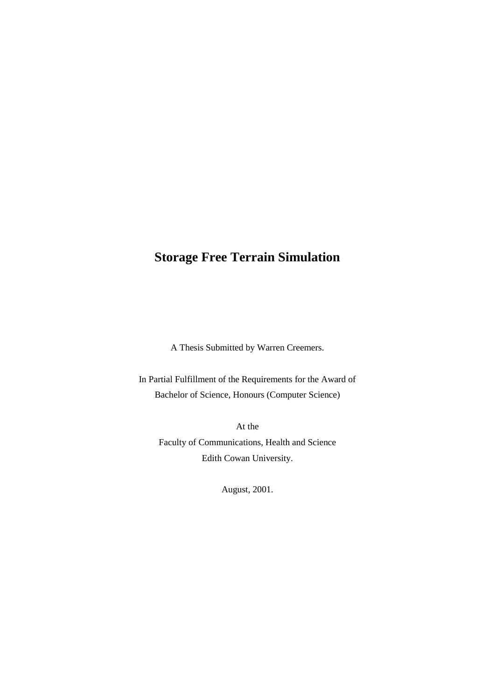# **Storage Free Terrain Simulation**

A Thesis Submitted by Warren Creemers.

In Partial Fulfillment of the Requirements for the Award of Bachelor of Science, Honours (Computer Science)

At the Faculty of Communications, Health and Science Edith Cowan University.

August, 2001.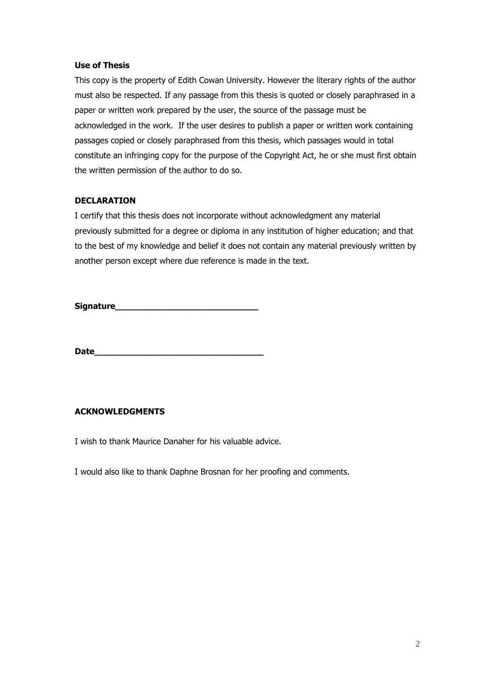#### **Use of Thesis**

This copy is the property of Edith Cowan University. However the literary rights of the author must also be respected. If any passage from this thesis is quoted or closely paraphrased in a paper or written work prepared by the user, the source of the passage must be acknowledged in the work. If the user desires to publish a paper or written work containing passages copied or closely paraphrased from this thesis, which passages would in total constitute an infringing copy for the purpose of the Copyright Act, he or she must first obtain the written permission of the author to do so.

#### **DECLARATION**

I certify that this thesis does not incorporate without acknowledgment any material previously submitted for a degree or diploma in any institution of higher education; and that to the best of my knowledge and belief it does not contain any material previously written by another person except where due reference is made in the text.

**Signature\_\_\_\_\_\_\_\_\_\_\_\_\_\_\_\_\_\_\_\_\_\_\_\_\_\_\_**

**Date\_\_\_\_\_\_\_\_\_\_\_\_\_\_\_\_\_\_\_\_\_\_\_\_\_\_\_\_\_\_\_\_**

#### **ACKNOWLEDGMENTS**

I wish to thank Maurice Danaher for his valuable advice.

I would also like to thank Daphne Brosnan for her proofing and comments.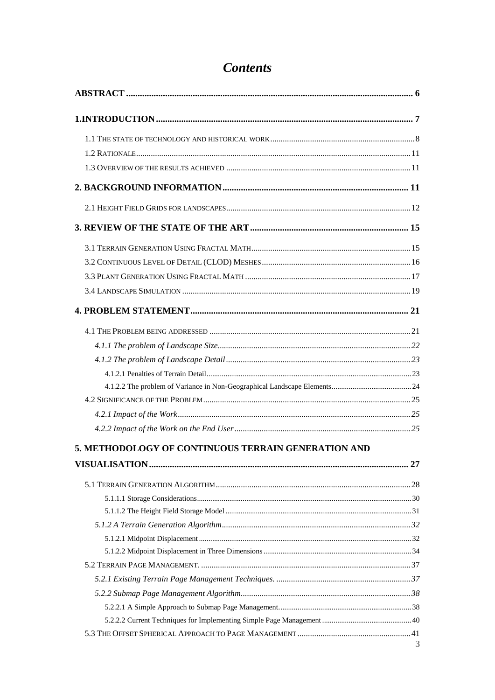| 5. METHODOLOGY OF CONTINUOUS TERRAIN GENERATION AND |   |
|-----------------------------------------------------|---|
|                                                     |   |
|                                                     |   |
|                                                     |   |
|                                                     |   |
|                                                     |   |
|                                                     |   |
|                                                     |   |
|                                                     |   |
|                                                     |   |
|                                                     |   |
|                                                     |   |
|                                                     |   |
|                                                     | 3 |

# **Contents**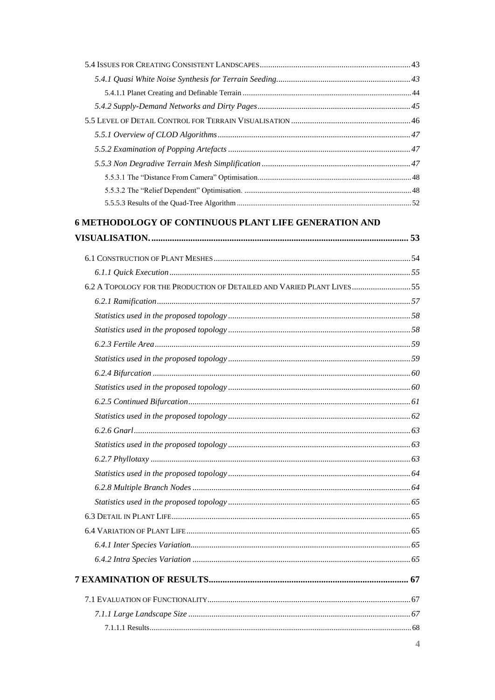| <b>6 METHODOLOGY OF CONTINUOUS PLANT LIFE GENERATION AND</b>           |    |
|------------------------------------------------------------------------|----|
|                                                                        |    |
|                                                                        |    |
|                                                                        |    |
| 6.2 A TOPOLOGY FOR THE PRODUCTION OF DETAILED AND VARIED PLANT LIVES55 |    |
|                                                                        |    |
|                                                                        |    |
|                                                                        |    |
|                                                                        |    |
|                                                                        |    |
|                                                                        |    |
|                                                                        |    |
|                                                                        |    |
|                                                                        |    |
| $6.2.6$ Gnarl                                                          | 63 |
|                                                                        |    |
|                                                                        |    |
|                                                                        |    |
|                                                                        |    |
|                                                                        |    |
|                                                                        |    |
|                                                                        |    |
|                                                                        |    |
|                                                                        |    |
|                                                                        |    |
|                                                                        |    |
|                                                                        |    |
|                                                                        |    |
|                                                                        |    |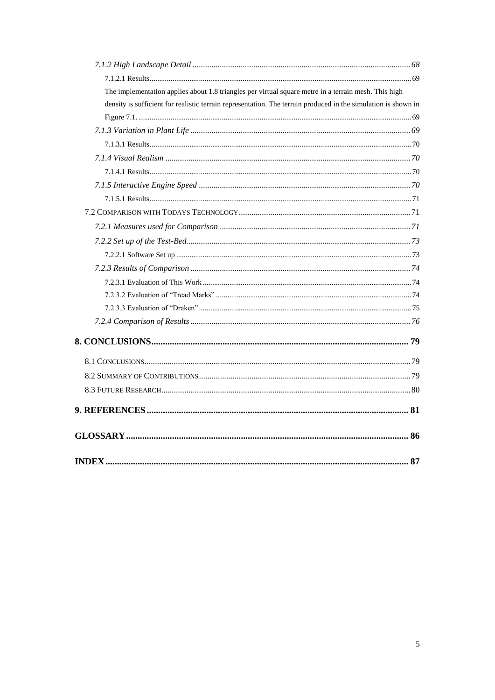| The implementation applies about 1.8 triangles per virtual square metre in a terrain mesh. This high           |  |
|----------------------------------------------------------------------------------------------------------------|--|
| density is sufficient for realistic terrain representation. The terrain produced in the simulation is shown in |  |
|                                                                                                                |  |
|                                                                                                                |  |
|                                                                                                                |  |
|                                                                                                                |  |
|                                                                                                                |  |
|                                                                                                                |  |
|                                                                                                                |  |
|                                                                                                                |  |
|                                                                                                                |  |
|                                                                                                                |  |
|                                                                                                                |  |
|                                                                                                                |  |
|                                                                                                                |  |
|                                                                                                                |  |
|                                                                                                                |  |
|                                                                                                                |  |
|                                                                                                                |  |
|                                                                                                                |  |
|                                                                                                                |  |
|                                                                                                                |  |
|                                                                                                                |  |
|                                                                                                                |  |
|                                                                                                                |  |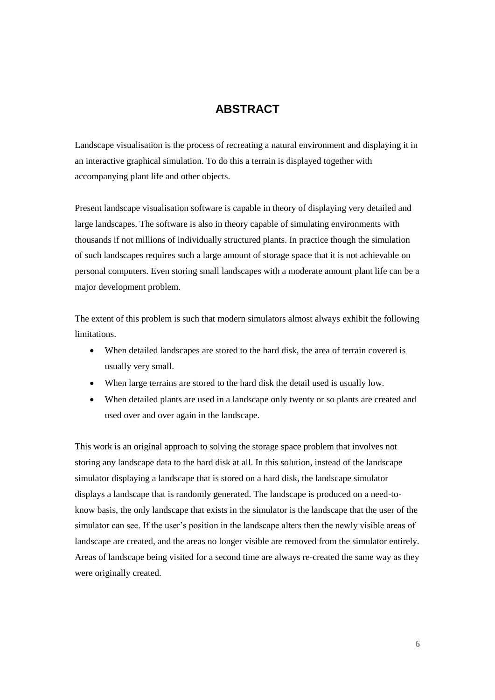## **ABSTRACT**

Landscape visualisation is the process of recreating a natural environment and displaying it in an interactive graphical simulation. To do this a terrain is displayed together with accompanying plant life and other objects.

Present landscape visualisation software is capable in theory of displaying very detailed and large landscapes. The software is also in theory capable of simulating environments with thousands if not millions of individually structured plants. In practice though the simulation of such landscapes requires such a large amount of storage space that it is not achievable on personal computers. Even storing small landscapes with a moderate amount plant life can be a major development problem.

The extent of this problem is such that modern simulators almost always exhibit the following limitations.

- When detailed landscapes are stored to the hard disk, the area of terrain covered is usually very small.
- When large terrains are stored to the hard disk the detail used is usually low.
- When detailed plants are used in a landscape only twenty or so plants are created and used over and over again in the landscape.

This work is an original approach to solving the storage space problem that involves not storing any landscape data to the hard disk at all. In this solution, instead of the landscape simulator displaying a landscape that is stored on a hard disk, the landscape simulator displays a landscape that is randomly generated. The landscape is produced on a need-toknow basis, the only landscape that exists in the simulator is the landscape that the user of the simulator can see. If the user's position in the landscape alters then the newly visible areas of landscape are created, and the areas no longer visible are removed from the simulator entirely. Areas of landscape being visited for a second time are always re-created the same way as they were originally created.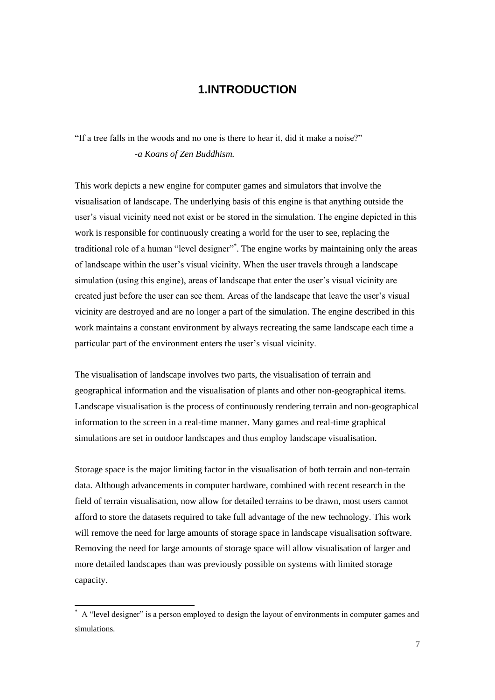## **1.INTRODUCTION**

"If a tree falls in the woods and no one is there to hear it, did it make a noise?" *-a Koans of Zen Buddhism.*

This work depicts a new engine for computer games and simulators that involve the visualisation of landscape. The underlying basis of this engine is that anything outside the user's visual vicinity need not exist or be stored in the simulation. The engine depicted in this work is responsible for continuously creating a world for the user to see, replacing the traditional role of a human "level designer"\* . The engine works by maintaining only the areas of landscape within the user's visual vicinity. When the user travels through a landscape simulation (using this engine), areas of landscape that enter the user's visual vicinity are created just before the user can see them. Areas of the landscape that leave the user's visual vicinity are destroyed and are no longer a part of the simulation. The engine described in this work maintains a constant environment by always recreating the same landscape each time a particular part of the environment enters the user's visual vicinity.

The visualisation of landscape involves two parts, the visualisation of terrain and geographical information and the visualisation of plants and other non-geographical items. Landscape visualisation is the process of continuously rendering terrain and non-geographical information to the screen in a real-time manner. Many games and real-time graphical simulations are set in outdoor landscapes and thus employ landscape visualisation.

Storage space is the major limiting factor in the visualisation of both terrain and non-terrain data. Although advancements in computer hardware, combined with recent research in the field of terrain visualisation, now allow for detailed terrains to be drawn, most users cannot afford to store the datasets required to take full advantage of the new technology. This work will remove the need for large amounts of storage space in landscape visualisation software. Removing the need for large amounts of storage space will allow visualisation of larger and more detailed landscapes than was previously possible on systems with limited storage capacity.

1

A "level designer" is a person employed to design the layout of environments in computer games and simulations.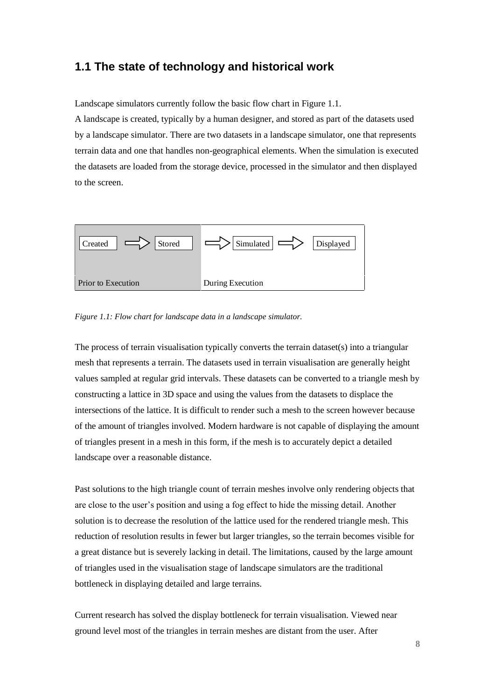### **1.1 The state of technology and historical work**

Landscape simulators currently follow the basic flow chart in Figure 1.1.

A landscape is created, typically by a human designer, and stored as part of the datasets used by a landscape simulator. There are two datasets in a landscape simulator, one that represents terrain data and one that handles non-geographical elements. When the simulation is executed the datasets are loaded from the storage device, processed in the simulator and then displayed to the screen.



*Figure 1.1: Flow chart for landscape data in a landscape simulator.*

The process of terrain visualisation typically converts the terrain dataset(s) into a triangular mesh that represents a terrain. The datasets used in terrain visualisation are generally height values sampled at regular grid intervals. These datasets can be converted to a triangle mesh by constructing a lattice in 3D space and using the values from the datasets to displace the intersections of the lattice. It is difficult to render such a mesh to the screen however because of the amount of triangles involved. Modern hardware is not capable of displaying the amount of triangles present in a mesh in this form, if the mesh is to accurately depict a detailed landscape over a reasonable distance.

Past solutions to the high triangle count of terrain meshes involve only rendering objects that are close to the user's position and using a fog effect to hide the missing detail. Another solution is to decrease the resolution of the lattice used for the rendered triangle mesh. This reduction of resolution results in fewer but larger triangles, so the terrain becomes visible for a great distance but is severely lacking in detail. The limitations, caused by the large amount of triangles used in the visualisation stage of landscape simulators are the traditional bottleneck in displaying detailed and large terrains.

Current research has solved the display bottleneck for terrain visualisation. Viewed near ground level most of the triangles in terrain meshes are distant from the user. After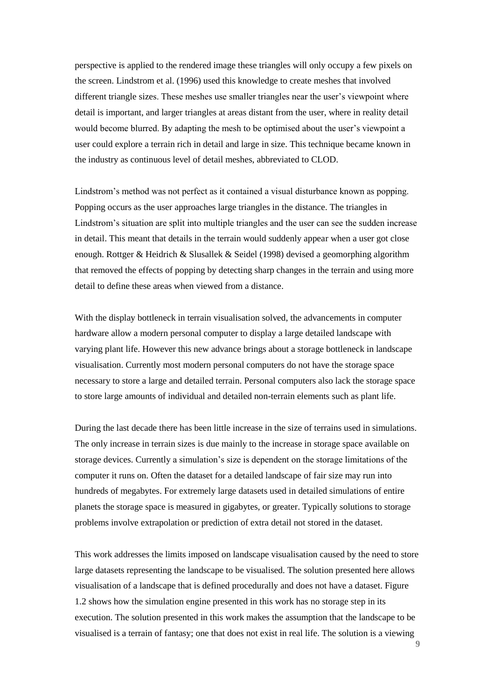perspective is applied to the rendered image these triangles will only occupy a few pixels on the screen. Lindstrom et al. (1996) used this knowledge to create meshes that involved different triangle sizes. These meshes use smaller triangles near the user's viewpoint where detail is important, and larger triangles at areas distant from the user, where in reality detail would become blurred. By adapting the mesh to be optimised about the user's viewpoint a user could explore a terrain rich in detail and large in size. This technique became known in the industry as continuous level of detail meshes, abbreviated to CLOD.

Lindstrom's method was not perfect as it contained a visual disturbance known as popping. Popping occurs as the user approaches large triangles in the distance. The triangles in Lindstrom's situation are split into multiple triangles and the user can see the sudden increase in detail. This meant that details in the terrain would suddenly appear when a user got close enough. Rottger & Heidrich & Slusallek & Seidel (1998) devised a geomorphing algorithm that removed the effects of popping by detecting sharp changes in the terrain and using more detail to define these areas when viewed from a distance.

With the display bottleneck in terrain visualisation solved, the advancements in computer hardware allow a modern personal computer to display a large detailed landscape with varying plant life. However this new advance brings about a storage bottleneck in landscape visualisation. Currently most modern personal computers do not have the storage space necessary to store a large and detailed terrain. Personal computers also lack the storage space to store large amounts of individual and detailed non-terrain elements such as plant life.

During the last decade there has been little increase in the size of terrains used in simulations. The only increase in terrain sizes is due mainly to the increase in storage space available on storage devices. Currently a simulation's size is dependent on the storage limitations of the computer it runs on. Often the dataset for a detailed landscape of fair size may run into hundreds of megabytes. For extremely large datasets used in detailed simulations of entire planets the storage space is measured in gigabytes, or greater. Typically solutions to storage problems involve extrapolation or prediction of extra detail not stored in the dataset.

This work addresses the limits imposed on landscape visualisation caused by the need to store large datasets representing the landscape to be visualised. The solution presented here allows visualisation of a landscape that is defined procedurally and does not have a dataset. Figure 1.2 shows how the simulation engine presented in this work has no storage step in its execution. The solution presented in this work makes the assumption that the landscape to be visualised is a terrain of fantasy; one that does not exist in real life. The solution is a viewing

**9**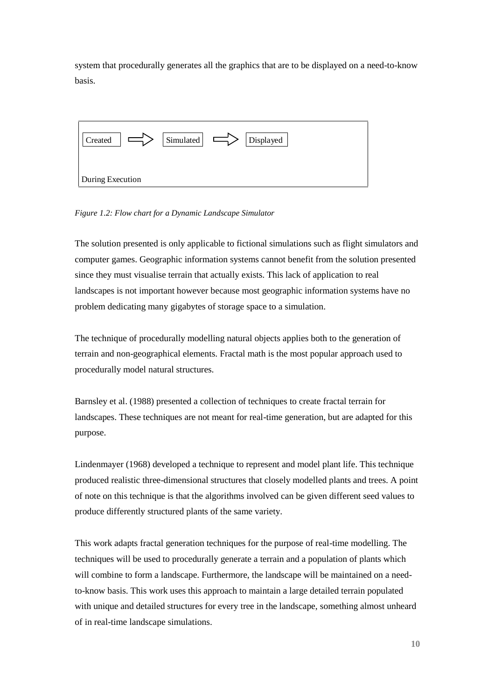system that procedurally generates all the graphics that are to be displayed on a need-to-know basis.



*Figure 1.2: Flow chart for a Dynamic Landscape Simulator* 

The solution presented is only applicable to fictional simulations such as flight simulators and computer games. Geographic information systems cannot benefit from the solution presented since they must visualise terrain that actually exists. This lack of application to real landscapes is not important however because most geographic information systems have no problem dedicating many gigabytes of storage space to a simulation.

The technique of procedurally modelling natural objects applies both to the generation of terrain and non-geographical elements. Fractal math is the most popular approach used to procedurally model natural structures.

Barnsley et al. (1988) presented a collection of techniques to create fractal terrain for landscapes. These techniques are not meant for real-time generation, but are adapted for this purpose.

Lindenmayer (1968) developed a technique to represent and model plant life. This technique produced realistic three-dimensional structures that closely modelled plants and trees. A point of note on this technique is that the algorithms involved can be given different seed values to produce differently structured plants of the same variety.

This work adapts fractal generation techniques for the purpose of real-time modelling. The techniques will be used to procedurally generate a terrain and a population of plants which will combine to form a landscape. Furthermore, the landscape will be maintained on a needto-know basis. This work uses this approach to maintain a large detailed terrain populated with unique and detailed structures for every tree in the landscape, something almost unheard of in real-time landscape simulations.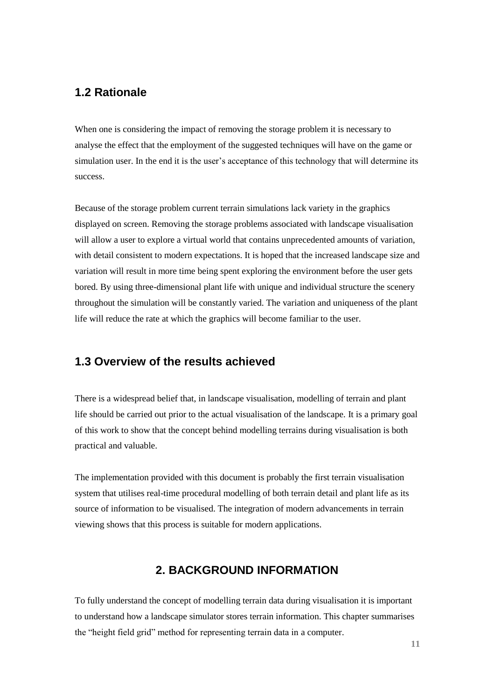### **1.2 Rationale**

When one is considering the impact of removing the storage problem it is necessary to analyse the effect that the employment of the suggested techniques will have on the game or simulation user. In the end it is the user's acceptance of this technology that will determine its success.

Because of the storage problem current terrain simulations lack variety in the graphics displayed on screen. Removing the storage problems associated with landscape visualisation will allow a user to explore a virtual world that contains unprecedented amounts of variation, with detail consistent to modern expectations. It is hoped that the increased landscape size and variation will result in more time being spent exploring the environment before the user gets bored. By using three-dimensional plant life with unique and individual structure the scenery throughout the simulation will be constantly varied. The variation and uniqueness of the plant life will reduce the rate at which the graphics will become familiar to the user.

## **1.3 Overview of the results achieved**

There is a widespread belief that, in landscape visualisation, modelling of terrain and plant life should be carried out prior to the actual visualisation of the landscape. It is a primary goal of this work to show that the concept behind modelling terrains during visualisation is both practical and valuable.

The implementation provided with this document is probably the first terrain visualisation system that utilises real-time procedural modelling of both terrain detail and plant life as its source of information to be visualised. The integration of modern advancements in terrain viewing shows that this process is suitable for modern applications.

### **2. BACKGROUND INFORMATION**

To fully understand the concept of modelling terrain data during visualisation it is important to understand how a landscape simulator stores terrain information. This chapter summarises the "height field grid" method for representing terrain data in a computer.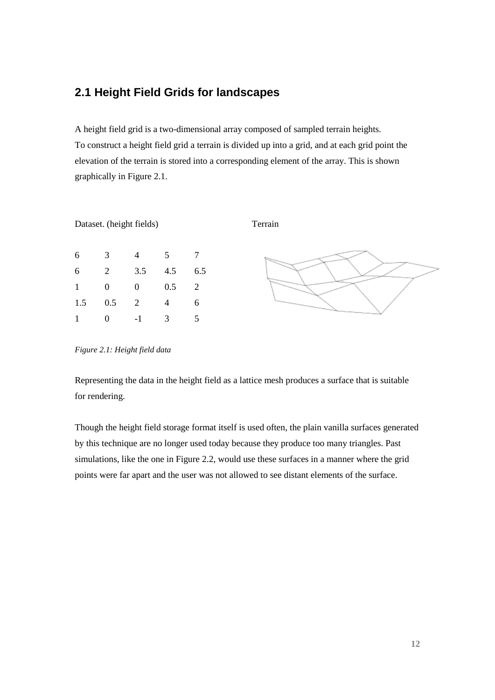## **2.1 Height Field Grids for landscapes**

A height field grid is a two-dimensional array composed of sampled terrain heights. To construct a height field grid a terrain is divided up into a grid, and at each grid point the elevation of the terrain is stored into a corresponding element of the array. This is shown graphically in Figure 2.1.



*Figure 2.1: Height field data*

Representing the data in the height field as a lattice mesh produces a surface that is suitable for rendering.

Though the height field storage format itself is used often, the plain vanilla surfaces generated by this technique are no longer used today because they produce too many triangles. Past simulations, like the one in Figure 2.2, would use these surfaces in a manner where the grid points were far apart and the user was not allowed to see distant elements of the surface.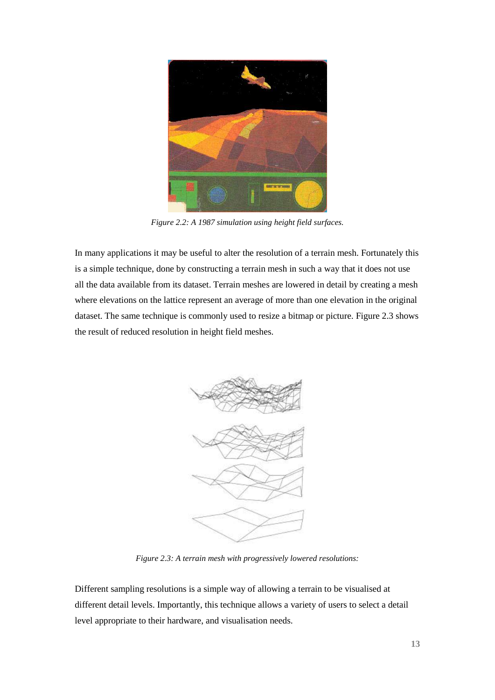

*Figure 2.2: A 1987 simulation using height field surfaces.*

In many applications it may be useful to alter the resolution of a terrain mesh. Fortunately this is a simple technique, done by constructing a terrain mesh in such a way that it does not use all the data available from its dataset. Terrain meshes are lowered in detail by creating a mesh where elevations on the lattice represent an average of more than one elevation in the original dataset. The same technique is commonly used to resize a bitmap or picture. Figure 2.3 shows the result of reduced resolution in height field meshes.



*Figure 2.3: A terrain mesh with progressively lowered resolutions:*

Different sampling resolutions is a simple way of allowing a terrain to be visualised at different detail levels. Importantly, this technique allows a variety of users to select a detail level appropriate to their hardware, and visualisation needs.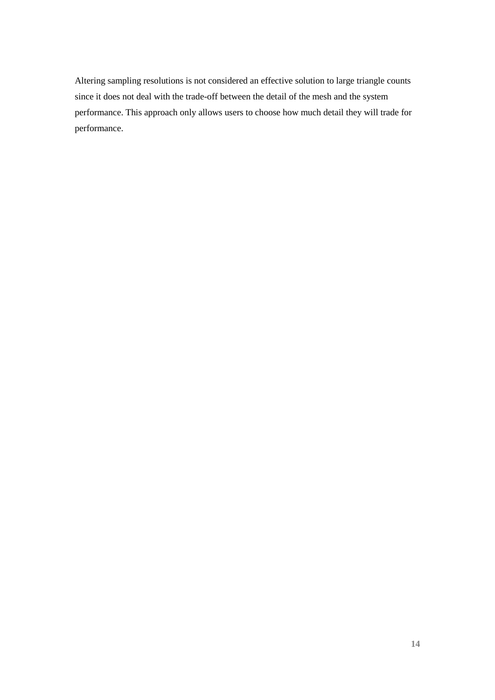Altering sampling resolutions is not considered an effective solution to large triangle counts since it does not deal with the trade-off between the detail of the mesh and the system performance. This approach only allows users to choose how much detail they will trade for performance.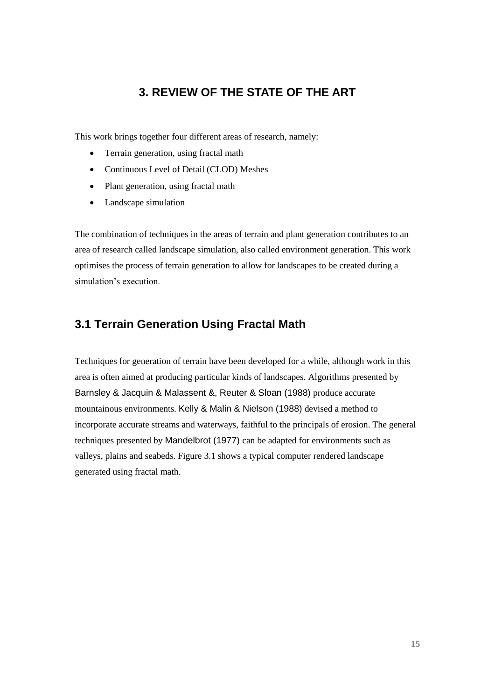## **3. REVIEW OF THE STATE OF THE ART**

This work brings together four different areas of research, namely:

- Terrain generation, using fractal math
- Continuous Level of Detail (CLOD) Meshes
- Plant generation, using fractal math
- Landscape simulation

The combination of techniques in the areas of terrain and plant generation contributes to an area of research called landscape simulation, also called environment generation. This work optimises the process of terrain generation to allow for landscapes to be created during a simulation's execution.

## **3.1 Terrain Generation Using Fractal Math**

Techniques for generation of terrain have been developed for a while, although work in this area is often aimed at producing particular kinds of landscapes. Algorithms presented by Barnsley & Jacquin & Malassent &, Reuter & Sloan (1988) produce accurate mountainous environments. Kelly & Malin & Nielson (1988) devised a method to incorporate accurate streams and waterways, faithful to the principals of erosion. The general techniques presented by Mandelbrot (1977) can be adapted for environments such as valleys, plains and seabeds. Figure 3.1 shows a typical computer rendered landscape generated using fractal math.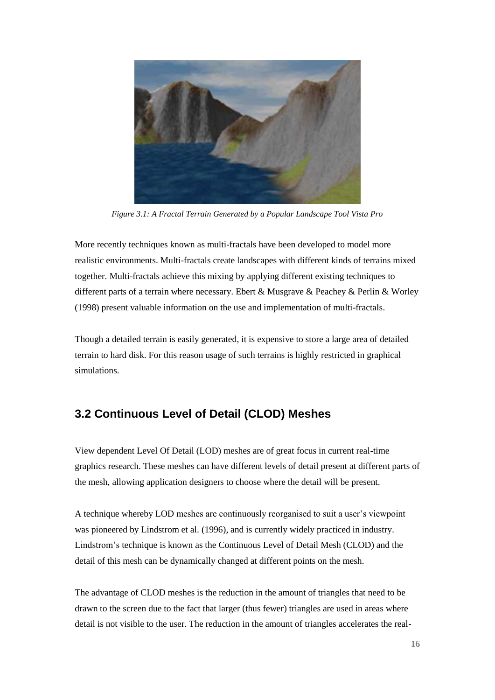

*Figure 3.1: A Fractal Terrain Generated by a Popular Landscape Tool Vista Pro*

More recently techniques known as multi-fractals have been developed to model more realistic environments. Multi-fractals create landscapes with different kinds of terrains mixed together. Multi-fractals achieve this mixing by applying different existing techniques to different parts of a terrain where necessary. Ebert & Musgrave & Peachey & Perlin & Worley (1998) present valuable information on the use and implementation of multi-fractals.

Though a detailed terrain is easily generated, it is expensive to store a large area of detailed terrain to hard disk. For this reason usage of such terrains is highly restricted in graphical simulations.

## **3.2 Continuous Level of Detail (CLOD) Meshes**

View dependent Level Of Detail (LOD) meshes are of great focus in current real-time graphics research. These meshes can have different levels of detail present at different parts of the mesh, allowing application designers to choose where the detail will be present.

A technique whereby LOD meshes are continuously reorganised to suit a user's viewpoint was pioneered by Lindstrom et al. (1996), and is currently widely practiced in industry. Lindstrom's technique is known as the Continuous Level of Detail Mesh (CLOD) and the detail of this mesh can be dynamically changed at different points on the mesh.

The advantage of CLOD meshes is the reduction in the amount of triangles that need to be drawn to the screen due to the fact that larger (thus fewer) triangles are used in areas where detail is not visible to the user. The reduction in the amount of triangles accelerates the real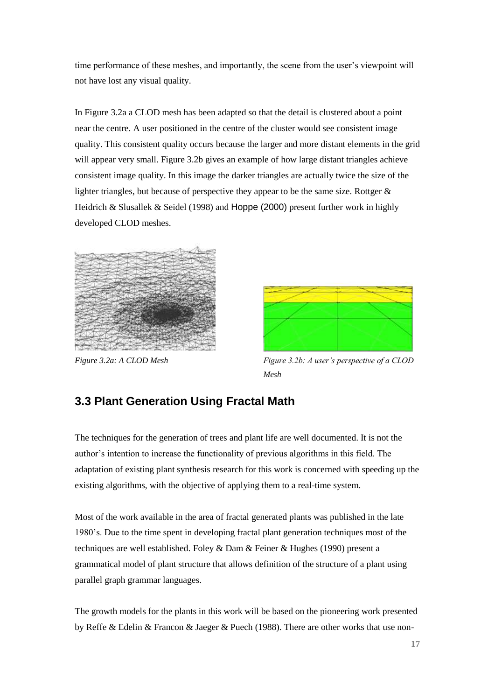time performance of these meshes, and importantly, the scene from the user's viewpoint will not have lost any visual quality.

In Figure 3.2a a CLOD mesh has been adapted so that the detail is clustered about a point near the centre. A user positioned in the centre of the cluster would see consistent image quality. This consistent quality occurs because the larger and more distant elements in the grid will appear very small. Figure 3.2b gives an example of how large distant triangles achieve consistent image quality. In this image the darker triangles are actually twice the size of the lighter triangles, but because of perspective they appear to be the same size. Rottger  $\&$ Heidrich & Slusallek & Seidel (1998) and Hoppe (2000) present further work in highly developed CLOD meshes.





*Figure 3.2a: A CLOD Mesh Figure 3.2b: A user's perspective of a CLOD Mesh*

## **3.3 Plant Generation Using Fractal Math**

The techniques for the generation of trees and plant life are well documented. It is not the author's intention to increase the functionality of previous algorithms in this field. The adaptation of existing plant synthesis research for this work is concerned with speeding up the existing algorithms, with the objective of applying them to a real-time system.

Most of the work available in the area of fractal generated plants was published in the late 1980's. Due to the time spent in developing fractal plant generation techniques most of the techniques are well established. Foley & Dam & Feiner & Hughes (1990) present a grammatical model of plant structure that allows definition of the structure of a plant using parallel graph grammar languages.

The growth models for the plants in this work will be based on the pioneering work presented by Reffe & Edelin & Francon & Jaeger & Puech (1988). There are other works that use non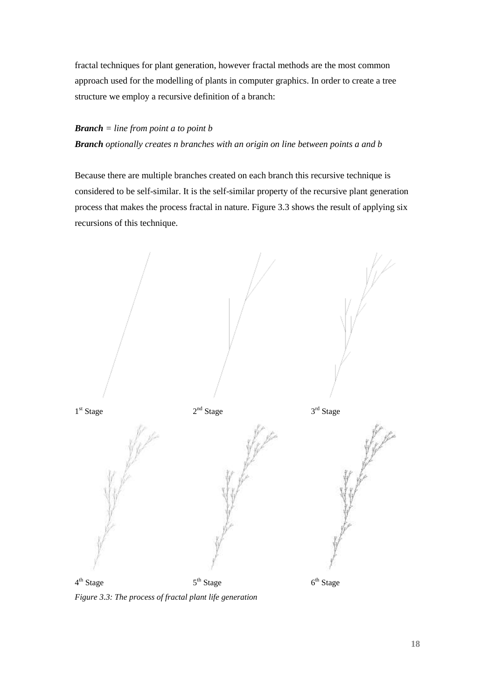fractal techniques for plant generation, however fractal methods are the most common approach used for the modelling of plants in computer graphics. In order to create a tree structure we employ a recursive definition of a branch:

#### *Branch = line from point a to point b*

*Branch optionally creates n branches with an origin on line between points a and b*

Because there are multiple branches created on each branch this recursive technique is considered to be self-similar. It is the self-similar property of the recursive plant generation process that makes the process fractal in nature. Figure 3.3 shows the result of applying six recursions of this technique.



*Figure 3.3: The process of fractal plant life generation*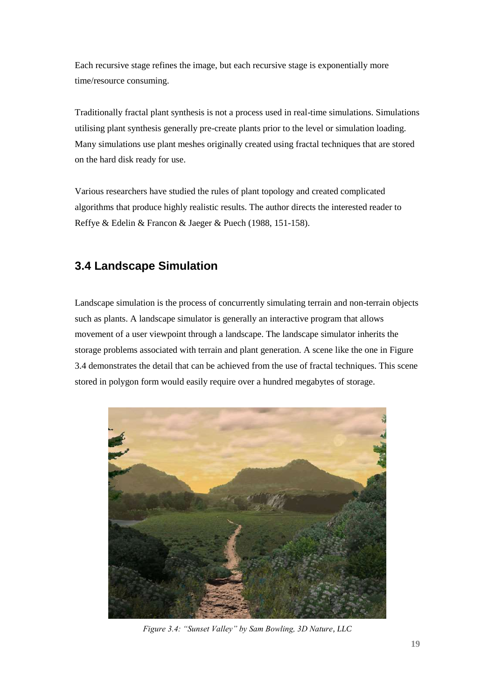Each recursive stage refines the image, but each recursive stage is exponentially more time/resource consuming.

Traditionally fractal plant synthesis is not a process used in real-time simulations. Simulations utilising plant synthesis generally pre-create plants prior to the level or simulation loading. Many simulations use plant meshes originally created using fractal techniques that are stored on the hard disk ready for use.

Various researchers have studied the rules of plant topology and created complicated algorithms that produce highly realistic results. The author directs the interested reader to Reffye & Edelin & Francon & Jaeger & Puech (1988, 151-158).

## **3.4 Landscape Simulation**

Landscape simulation is the process of concurrently simulating terrain and non-terrain objects such as plants. A landscape simulator is generally an interactive program that allows movement of a user viewpoint through a landscape. The landscape simulator inherits the storage problems associated with terrain and plant generation. A scene like the one in Figure 3.4 demonstrates the detail that can be achieved from the use of fractal techniques. This scene stored in polygon form would easily require over a hundred megabytes of storage.



*Figure 3.4: "Sunset Valley" by Sam Bowling, 3D Nature, LLC*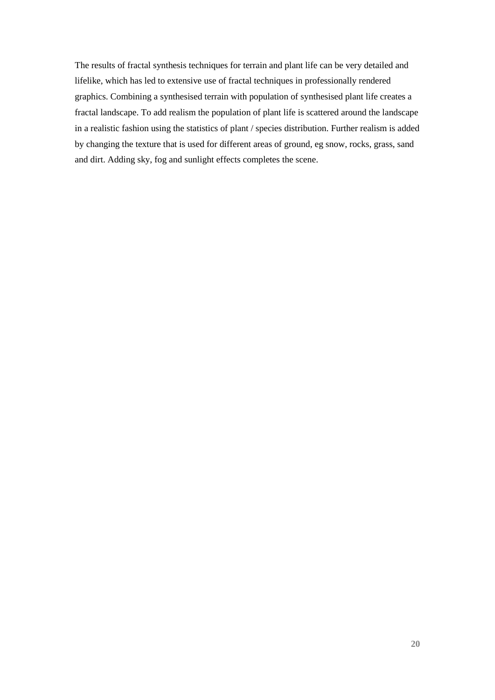The results of fractal synthesis techniques for terrain and plant life can be very detailed and lifelike, which has led to extensive use of fractal techniques in professionally rendered graphics. Combining a synthesised terrain with population of synthesised plant life creates a fractal landscape. To add realism the population of plant life is scattered around the landscape in a realistic fashion using the statistics of plant / species distribution. Further realism is added by changing the texture that is used for different areas of ground, eg snow, rocks, grass, sand and dirt. Adding sky, fog and sunlight effects completes the scene.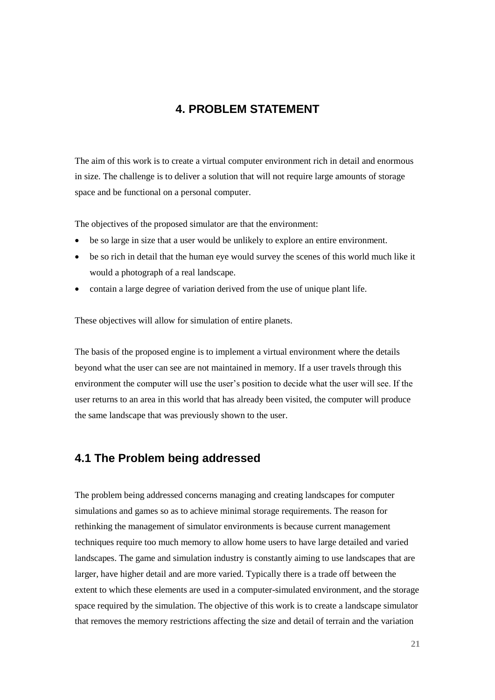## **4. PROBLEM STATEMENT**

The aim of this work is to create a virtual computer environment rich in detail and enormous in size. The challenge is to deliver a solution that will not require large amounts of storage space and be functional on a personal computer.

The objectives of the proposed simulator are that the environment:

- be so large in size that a user would be unlikely to explore an entire environment.
- be so rich in detail that the human eye would survey the scenes of this world much like it would a photograph of a real landscape.
- contain a large degree of variation derived from the use of unique plant life.

These objectives will allow for simulation of entire planets.

The basis of the proposed engine is to implement a virtual environment where the details beyond what the user can see are not maintained in memory. If a user travels through this environment the computer will use the user's position to decide what the user will see. If the user returns to an area in this world that has already been visited, the computer will produce the same landscape that was previously shown to the user.

### **4.1 The Problem being addressed**

The problem being addressed concerns managing and creating landscapes for computer simulations and games so as to achieve minimal storage requirements. The reason for rethinking the management of simulator environments is because current management techniques require too much memory to allow home users to have large detailed and varied landscapes. The game and simulation industry is constantly aiming to use landscapes that are larger, have higher detail and are more varied. Typically there is a trade off between the extent to which these elements are used in a computer-simulated environment, and the storage space required by the simulation. The objective of this work is to create a landscape simulator that removes the memory restrictions affecting the size and detail of terrain and the variation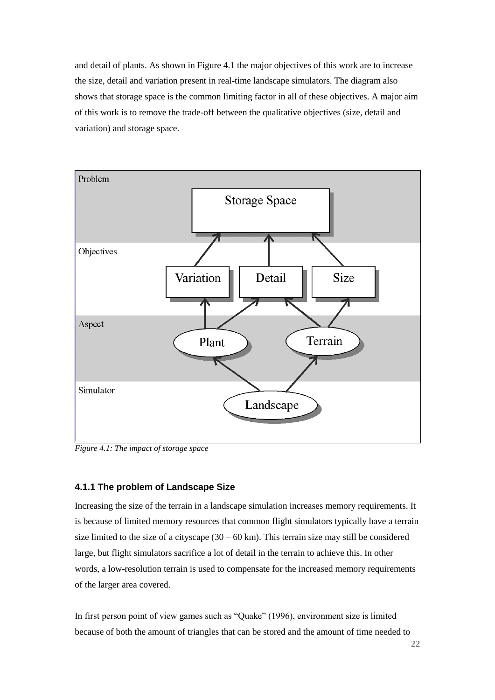and detail of plants. As shown in Figure 4.1 the major objectives of this work are to increase the size, detail and variation present in real-time landscape simulators. The diagram also shows that storage space is the common limiting factor in all of these objectives. A major aim of this work is to remove the trade-off between the qualitative objectives (size, detail and variation) and storage space.



*Figure 4.1: The impact of storage space*

#### **4.1.1 The problem of Landscape Size**

Increasing the size of the terrain in a landscape simulation increases memory requirements. It is because of limited memory resources that common flight simulators typically have a terrain size limited to the size of a cityscape  $(30 - 60 \text{ km})$ . This terrain size may still be considered large, but flight simulators sacrifice a lot of detail in the terrain to achieve this. In other words, a low-resolution terrain is used to compensate for the increased memory requirements of the larger area covered.

In first person point of view games such as "Quake" (1996), environment size is limited because of both the amount of triangles that can be stored and the amount of time needed to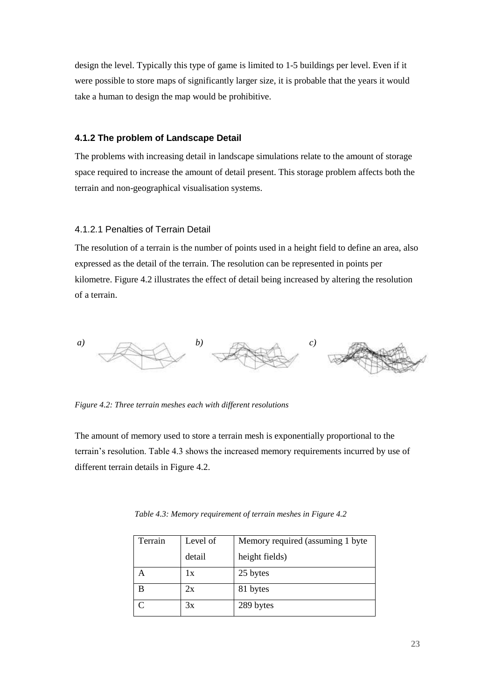design the level. Typically this type of game is limited to 1-5 buildings per level. Even if it were possible to store maps of significantly larger size, it is probable that the years it would take a human to design the map would be prohibitive.

#### **4.1.2 The problem of Landscape Detail**

The problems with increasing detail in landscape simulations relate to the amount of storage space required to increase the amount of detail present. This storage problem affects both the terrain and non-geographical visualisation systems.

#### 4.1.2.1 Penalties of Terrain Detail

The resolution of a terrain is the number of points used in a height field to define an area, also expressed as the detail of the terrain. The resolution can be represented in points per kilometre. Figure 4.2 illustrates the effect of detail being increased by altering the resolution of a terrain.



*Figure 4.2: Three terrain meshes each with different resolutions*

The amount of memory used to store a terrain mesh is exponentially proportional to the terrain's resolution. Table 4.3 shows the increased memory requirements incurred by use of different terrain details in Figure 4.2.

| Terrain | Level of | Memory required (assuming 1 byte |
|---------|----------|----------------------------------|
|         | detail   | height fields)                   |
|         | 1x       | 25 bytes                         |
| B       | 2x       | 81 bytes                         |
|         | 3x       | 289 bytes                        |

*Table 4.3: Memory requirement of terrain meshes in Figure 4.2*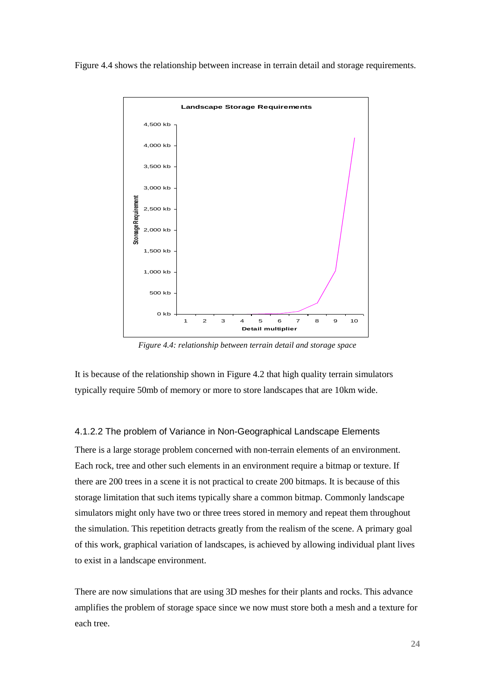Figure 4.4 shows the relationship between increase in terrain detail and storage requirements.



*Figure 4.4: relationship between terrain detail and storage space*

It is because of the relationship shown in Figure 4.2 that high quality terrain simulators typically require 50mb of memory or more to store landscapes that are 10km wide.

#### 4.1.2.2 The problem of Variance in Non-Geographical Landscape Elements

There is a large storage problem concerned with non-terrain elements of an environment. Each rock, tree and other such elements in an environment require a bitmap or texture. If there are 200 trees in a scene it is not practical to create 200 bitmaps. It is because of this storage limitation that such items typically share a common bitmap. Commonly landscape simulators might only have two or three trees stored in memory and repeat them throughout the simulation. This repetition detracts greatly from the realism of the scene. A primary goal of this work, graphical variation of landscapes, is achieved by allowing individual plant lives to exist in a landscape environment.

There are now simulations that are using 3D meshes for their plants and rocks. This advance amplifies the problem of storage space since we now must store both a mesh and a texture for each tree.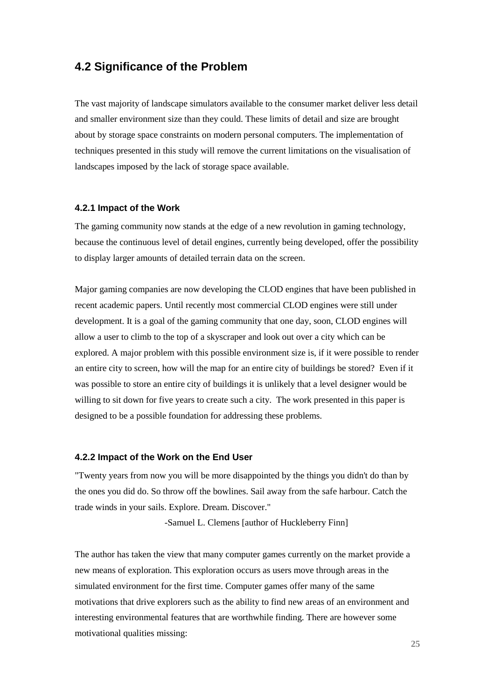### **4.2 Significance of the Problem**

The vast majority of landscape simulators available to the consumer market deliver less detail and smaller environment size than they could. These limits of detail and size are brought about by storage space constraints on modern personal computers. The implementation of techniques presented in this study will remove the current limitations on the visualisation of landscapes imposed by the lack of storage space available.

#### **4.2.1 Impact of the Work**

The gaming community now stands at the edge of a new revolution in gaming technology, because the continuous level of detail engines, currently being developed, offer the possibility to display larger amounts of detailed terrain data on the screen.

Major gaming companies are now developing the CLOD engines that have been published in recent academic papers. Until recently most commercial CLOD engines were still under development. It is a goal of the gaming community that one day, soon, CLOD engines will allow a user to climb to the top of a skyscraper and look out over a city which can be explored. A major problem with this possible environment size is, if it were possible to render an entire city to screen, how will the map for an entire city of buildings be stored? Even if it was possible to store an entire city of buildings it is unlikely that a level designer would be willing to sit down for five years to create such a city. The work presented in this paper is designed to be a possible foundation for addressing these problems.

#### **4.2.2 Impact of the Work on the End User**

"Twenty years from now you will be more disappointed by the things you didn't do than by the ones you did do. So throw off the bowlines. Sail away from the safe harbour. Catch the trade winds in your sails. Explore. Dream. Discover."

-Samuel L. Clemens [author of Huckleberry Finn]

The author has taken the view that many computer games currently on the market provide a new means of exploration. This exploration occurs as users move through areas in the simulated environment for the first time. Computer games offer many of the same motivations that drive explorers such as the ability to find new areas of an environment and interesting environmental features that are worthwhile finding. There are however some motivational qualities missing: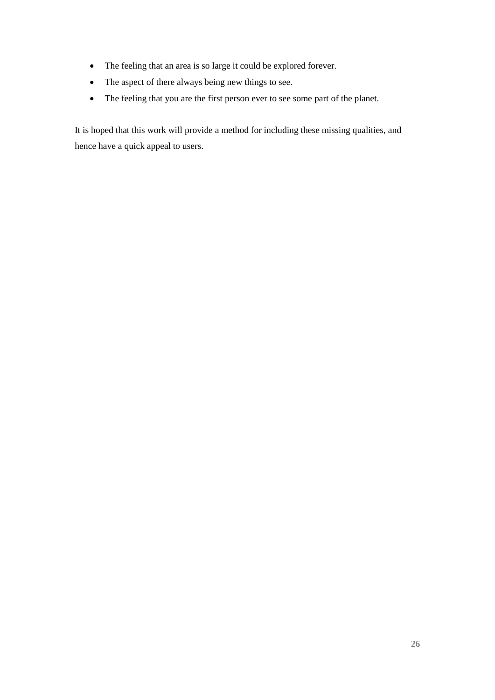- The feeling that an area is so large it could be explored forever.
- The aspect of there always being new things to see.
- The feeling that you are the first person ever to see some part of the planet.

It is hoped that this work will provide a method for including these missing qualities, and hence have a quick appeal to users.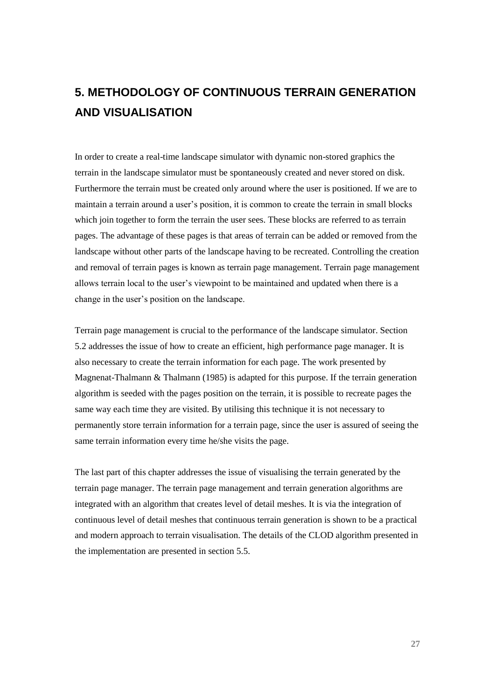# **5. METHODOLOGY OF CONTINUOUS TERRAIN GENERATION AND VISUALISATION**

In order to create a real-time landscape simulator with dynamic non-stored graphics the terrain in the landscape simulator must be spontaneously created and never stored on disk. Furthermore the terrain must be created only around where the user is positioned. If we are to maintain a terrain around a user's position, it is common to create the terrain in small blocks which join together to form the terrain the user sees. These blocks are referred to as terrain pages. The advantage of these pages is that areas of terrain can be added or removed from the landscape without other parts of the landscape having to be recreated. Controlling the creation and removal of terrain pages is known as terrain page management. Terrain page management allows terrain local to the user's viewpoint to be maintained and updated when there is a change in the user's position on the landscape.

Terrain page management is crucial to the performance of the landscape simulator. Section 5.2 addresses the issue of how to create an efficient, high performance page manager. It is also necessary to create the terrain information for each page. The work presented by Magnenat-Thalmann & Thalmann (1985) is adapted for this purpose. If the terrain generation algorithm is seeded with the pages position on the terrain, it is possible to recreate pages the same way each time they are visited. By utilising this technique it is not necessary to permanently store terrain information for a terrain page, since the user is assured of seeing the same terrain information every time he/she visits the page.

The last part of this chapter addresses the issue of visualising the terrain generated by the terrain page manager. The terrain page management and terrain generation algorithms are integrated with an algorithm that creates level of detail meshes. It is via the integration of continuous level of detail meshes that continuous terrain generation is shown to be a practical and modern approach to terrain visualisation. The details of the CLOD algorithm presented in the implementation are presented in section 5.5.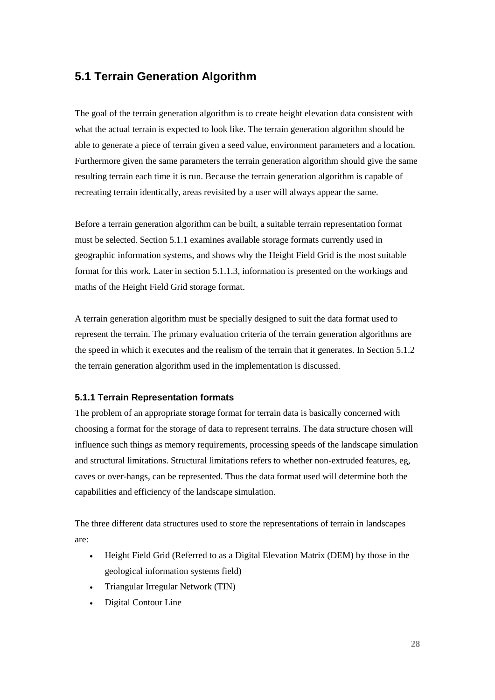## **5.1 Terrain Generation Algorithm**

The goal of the terrain generation algorithm is to create height elevation data consistent with what the actual terrain is expected to look like. The terrain generation algorithm should be able to generate a piece of terrain given a seed value, environment parameters and a location. Furthermore given the same parameters the terrain generation algorithm should give the same resulting terrain each time it is run. Because the terrain generation algorithm is capable of recreating terrain identically, areas revisited by a user will always appear the same.

Before a terrain generation algorithm can be built, a suitable terrain representation format must be selected. Section 5.1.1 examines available storage formats currently used in geographic information systems, and shows why the Height Field Grid is the most suitable format for this work. Later in section 5.1.1.3, information is presented on the workings and maths of the Height Field Grid storage format.

A terrain generation algorithm must be specially designed to suit the data format used to represent the terrain. The primary evaluation criteria of the terrain generation algorithms are the speed in which it executes and the realism of the terrain that it generates. In Section 5.1.2 the terrain generation algorithm used in the implementation is discussed.

#### **5.1.1 Terrain Representation formats**

The problem of an appropriate storage format for terrain data is basically concerned with choosing a format for the storage of data to represent terrains. The data structure chosen will influence such things as memory requirements, processing speeds of the landscape simulation and structural limitations. Structural limitations refers to whether non-extruded features, eg, caves or over-hangs, can be represented. Thus the data format used will determine both the capabilities and efficiency of the landscape simulation.

The three different data structures used to store the representations of terrain in landscapes are:

- Height Field Grid (Referred to as a Digital Elevation Matrix (DEM) by those in the geological information systems field)
- Triangular Irregular Network (TIN)
- Digital Contour Line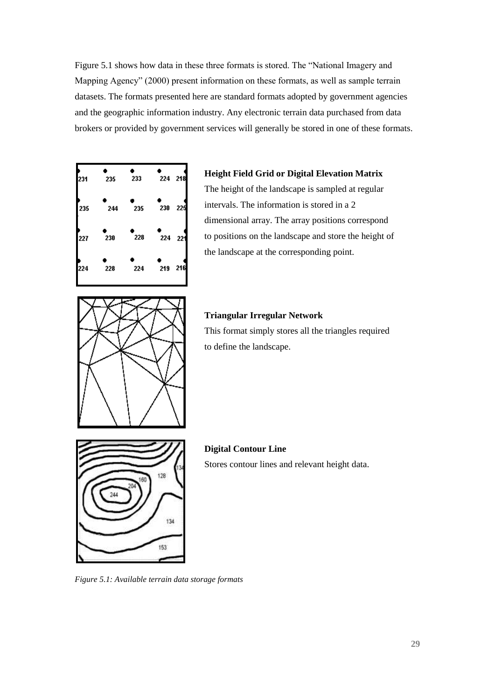Figure 5.1 shows how data in these three formats is stored. The "National Imagery and Mapping Agency" (2000) present information on these formats, as well as sample terrain datasets. The formats presented here are standard formats adopted by government agencies and the geographic information industry. Any electronic terrain data purchased from data brokers or provided by government services will generally be stored in one of these formats.



#### **Height Field Grid or Digital Elevation Matrix**

The height of the landscape is sampled at regular intervals. The information is stored in a 2 dimensional array. The array positions correspond to positions on the landscape and store the height of the landscape at the corresponding point.



#### **Triangular Irregular Network**

This format simply stores all the triangles required to define the landscape.



**Digital Contour Line** Stores contour lines and relevant height data.

*Figure 5.1: Available terrain data storage formats*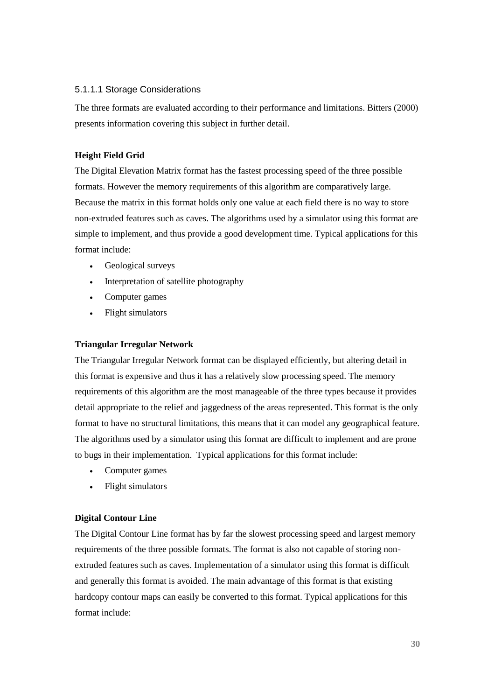#### 5.1.1.1 Storage Considerations

The three formats are evaluated according to their performance and limitations. Bitters (2000) presents information covering this subject in further detail.

#### **Height Field Grid**

The Digital Elevation Matrix format has the fastest processing speed of the three possible formats. However the memory requirements of this algorithm are comparatively large. Because the matrix in this format holds only one value at each field there is no way to store non-extruded features such as caves. The algorithms used by a simulator using this format are simple to implement, and thus provide a good development time. Typical applications for this format include:

- Geological surveys
- Interpretation of satellite photography
- Computer games
- Flight simulators

#### **Triangular Irregular Network**

The Triangular Irregular Network format can be displayed efficiently, but altering detail in this format is expensive and thus it has a relatively slow processing speed. The memory requirements of this algorithm are the most manageable of the three types because it provides detail appropriate to the relief and jaggedness of the areas represented. This format is the only format to have no structural limitations, this means that it can model any geographical feature. The algorithms used by a simulator using this format are difficult to implement and are prone to bugs in their implementation. Typical applications for this format include:

- Computer games
- Flight simulators

#### **Digital Contour Line**

The Digital Contour Line format has by far the slowest processing speed and largest memory requirements of the three possible formats. The format is also not capable of storing nonextruded features such as caves. Implementation of a simulator using this format is difficult and generally this format is avoided. The main advantage of this format is that existing hardcopy contour maps can easily be converted to this format. Typical applications for this format include: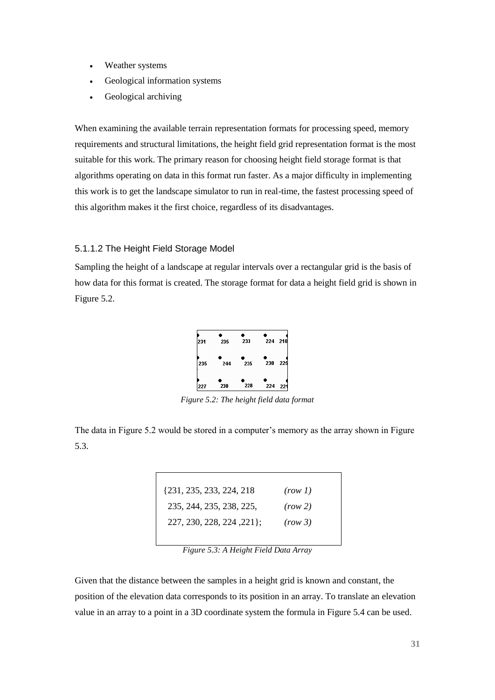- Weather systems
- Geological information systems
- Geological archiving

When examining the available terrain representation formats for processing speed, memory requirements and structural limitations, the height field grid representation format is the most suitable for this work. The primary reason for choosing height field storage format is that algorithms operating on data in this format run faster. As a major difficulty in implementing this work is to get the landscape simulator to run in real-time, the fastest processing speed of this algorithm makes it the first choice, regardless of its disadvantages.

#### 5.1.1.2 The Height Field Storage Model

Sampling the height of a landscape at regular intervals over a rectangular grid is the basis of how data for this format is created. The storage format for data a height field grid is shown in Figure 5.2.



*Figure 5.2: The height field data format*

The data in Figure 5.2 would be stored in a computer's memory as the array shown in Figure 5.3.

| (row 1) |
|---------|
| (row 2) |
| (row 3) |
|         |

*Figure 5.3: A Height Field Data Array*

Given that the distance between the samples in a height grid is known and constant, the position of the elevation data corresponds to its position in an array. To translate an elevation value in an array to a point in a 3D coordinate system the formula in Figure 5.4 can be used.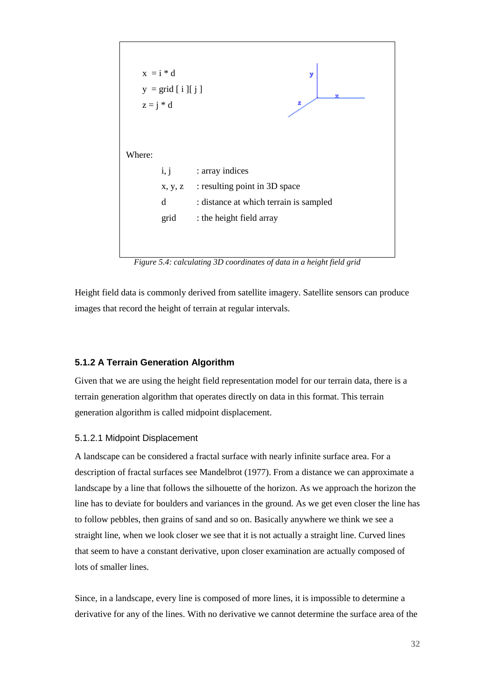

*Figure 5.4: calculating 3D coordinates of data in a height field grid*

Height field data is commonly derived from satellite imagery. Satellite sensors can produce images that record the height of terrain at regular intervals.

#### **5.1.2 A Terrain Generation Algorithm**

Given that we are using the height field representation model for our terrain data, there is a terrain generation algorithm that operates directly on data in this format. This terrain generation algorithm is called midpoint displacement.

#### 5.1.2.1 Midpoint Displacement

A landscape can be considered a fractal surface with nearly infinite surface area. For a description of fractal surfaces see Mandelbrot (1977). From a distance we can approximate a landscape by a line that follows the silhouette of the horizon. As we approach the horizon the line has to deviate for boulders and variances in the ground. As we get even closer the line has to follow pebbles, then grains of sand and so on. Basically anywhere we think we see a straight line, when we look closer we see that it is not actually a straight line. Curved lines that seem to have a constant derivative, upon closer examination are actually composed of lots of smaller lines.

Since, in a landscape, every line is composed of more lines, it is impossible to determine a derivative for any of the lines. With no derivative we cannot determine the surface area of the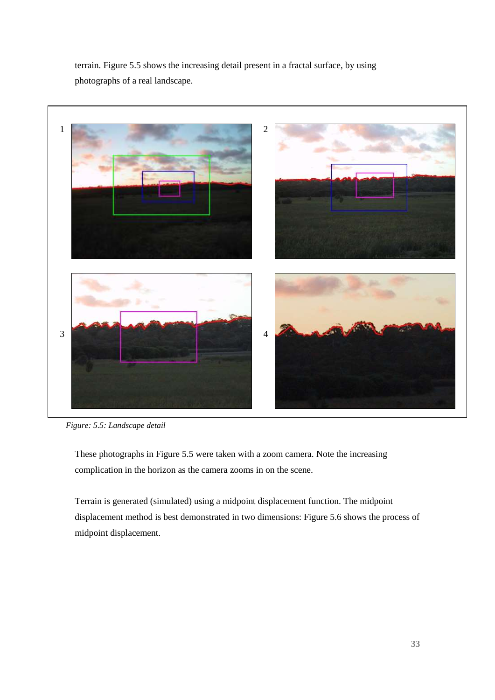terrain. Figure 5.5 shows the increasing detail present in a fractal surface, by using photographs of a real landscape.



*Figure: 5.5: Landscape detail*

These photographs in Figure 5.5 were taken with a zoom camera. Note the increasing complication in the horizon as the camera zooms in on the scene.

Terrain is generated (simulated) using a midpoint displacement function. The midpoint displacement method is best demonstrated in two dimensions: Figure 5.6 shows the process of midpoint displacement.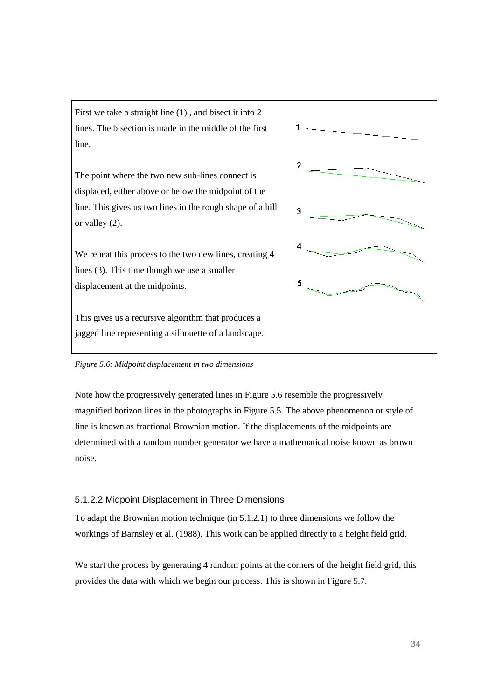First we take a straight line (1) , and bisect it into 2 lines. The bisection is made in the middle of the first line.

The point where the two new sub-lines connect is displaced, either above or below the midpoint of the line. This gives us two lines in the rough shape of a hill or valley (2).

We repeat this process to the two new lines, creating 4 lines (3). This time though we use a smaller displacement at the midpoints.

This gives us a recursive algorithm that produces a jagged line representing a silhouette of a landscape.



*Figure 5.6: Midpoint displacement in two dimensions*

Note how the progressively generated lines in Figure 5.6 resemble the progressively magnified horizon lines in the photographs in Figure 5.5. The above phenomenon or style of line is known as fractional Brownian motion. If the displacements of the midpoints are determined with a random number generator we have a mathematical noise known as brown noise.

#### 5.1.2.2 Midpoint Displacement in Three Dimensions

To adapt the Brownian motion technique (in 5.1.2.1) to three dimensions we follow the workings of Barnsley et al. (1988). This work can be applied directly to a height field grid.

We start the process by generating 4 random points at the corners of the height field grid, this provides the data with which we begin our process. This is shown in Figure 5.7.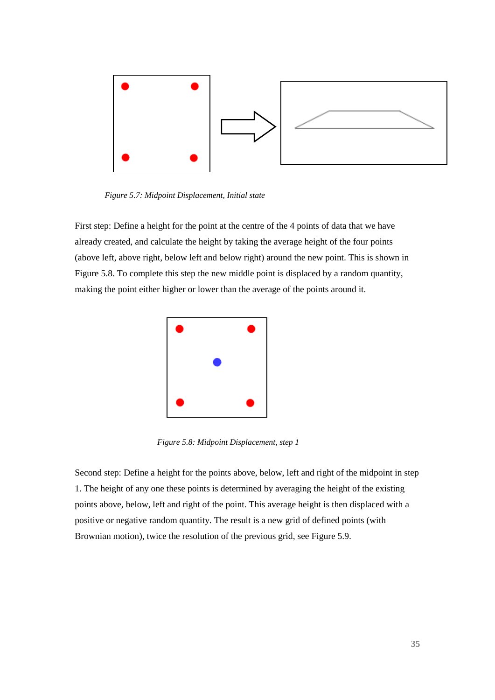

*Figure 5.7: Midpoint Displacement, Initial state*

First step: Define a height for the point at the centre of the 4 points of data that we have already created, and calculate the height by taking the average height of the four points (above left, above right, below left and below right) around the new point. This is shown in Figure 5.8. To complete this step the new middle point is displaced by a random quantity, making the point either higher or lower than the average of the points around it.



*Figure 5.8: Midpoint Displacement, step 1*

Second step: Define a height for the points above, below, left and right of the midpoint in step 1. The height of any one these points is determined by averaging the height of the existing points above, below, left and right of the point. This average height is then displaced with a positive or negative random quantity. The result is a new grid of defined points (with Brownian motion), twice the resolution of the previous grid, see Figure 5.9.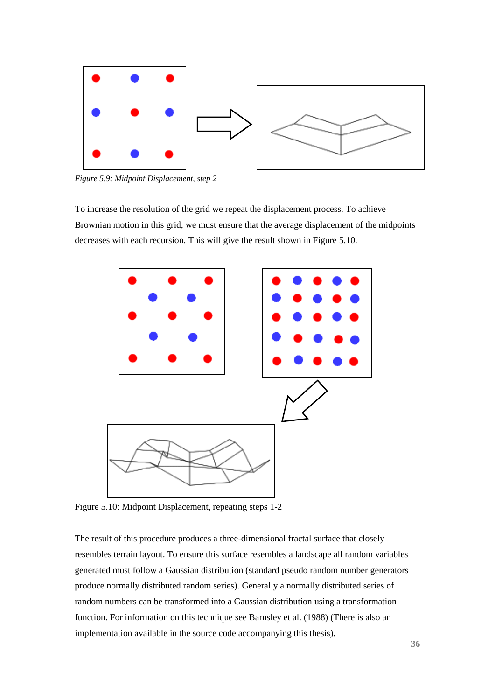

*Figure 5.9: Midpoint Displacement, step 2*

To increase the resolution of the grid we repeat the displacement process. To achieve Brownian motion in this grid, we must ensure that the average displacement of the midpoints decreases with each recursion. This will give the result shown in Figure 5.10.



Figure 5.10: Midpoint Displacement, repeating steps 1-2

The result of this procedure produces a three-dimensional fractal surface that closely resembles terrain layout. To ensure this surface resembles a landscape all random variables generated must follow a Gaussian distribution (standard pseudo random number generators produce normally distributed random series). Generally a normally distributed series of random numbers can be transformed into a Gaussian distribution using a transformation function. For information on this technique see Barnsley et al. (1988) (There is also an implementation available in the source code accompanying this thesis).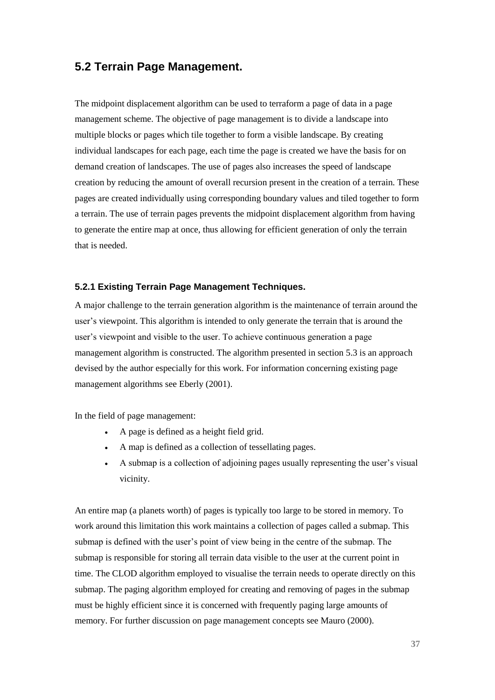## **5.2 Terrain Page Management.**

The midpoint displacement algorithm can be used to terraform a page of data in a page management scheme. The objective of page management is to divide a landscape into multiple blocks or pages which tile together to form a visible landscape. By creating individual landscapes for each page, each time the page is created we have the basis for on demand creation of landscapes. The use of pages also increases the speed of landscape creation by reducing the amount of overall recursion present in the creation of a terrain. These pages are created individually using corresponding boundary values and tiled together to form a terrain. The use of terrain pages prevents the midpoint displacement algorithm from having to generate the entire map at once, thus allowing for efficient generation of only the terrain that is needed.

## **5.2.1 Existing Terrain Page Management Techniques.**

A major challenge to the terrain generation algorithm is the maintenance of terrain around the user's viewpoint. This algorithm is intended to only generate the terrain that is around the user's viewpoint and visible to the user. To achieve continuous generation a page management algorithm is constructed. The algorithm presented in section 5.3 is an approach devised by the author especially for this work. For information concerning existing page management algorithms see Eberly (2001).

In the field of page management:

- A page is defined as a height field grid.
- A map is defined as a collection of tessellating pages.
- A submap is a collection of adjoining pages usually representing the user's visual vicinity.

An entire map (a planets worth) of pages is typically too large to be stored in memory. To work around this limitation this work maintains a collection of pages called a submap. This submap is defined with the user's point of view being in the centre of the submap. The submap is responsible for storing all terrain data visible to the user at the current point in time. The CLOD algorithm employed to visualise the terrain needs to operate directly on this submap. The paging algorithm employed for creating and removing of pages in the submap must be highly efficient since it is concerned with frequently paging large amounts of memory. For further discussion on page management concepts see Mauro (2000).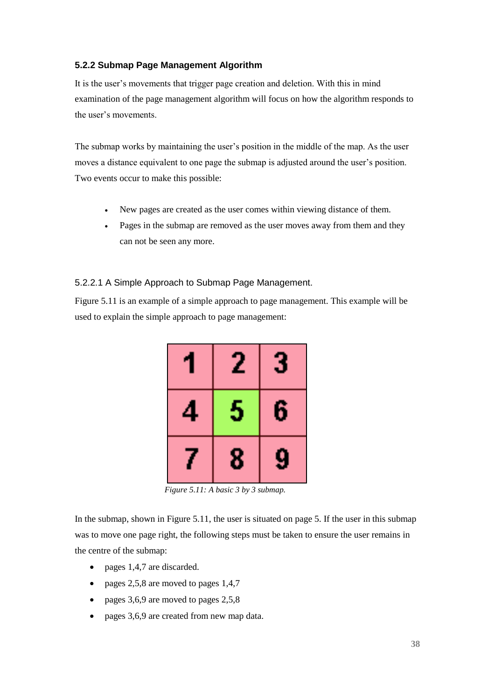## **5.2.2 Submap Page Management Algorithm**

It is the user's movements that trigger page creation and deletion. With this in mind examination of the page management algorithm will focus on how the algorithm responds to the user's movements.

The submap works by maintaining the user's position in the middle of the map. As the user moves a distance equivalent to one page the submap is adjusted around the user's position. Two events occur to make this possible:

- New pages are created as the user comes within viewing distance of them.
- Pages in the submap are removed as the user moves away from them and they can not be seen any more.

## 5.2.2.1 A Simple Approach to Submap Page Management.

Figure 5.11 is an example of a simple approach to page management. This example will be used to explain the simple approach to page management:



*Figure 5.11: A basic 3 by 3 submap.*

In the submap, shown in Figure 5.11, the user is situated on page 5. If the user in this submap was to move one page right, the following steps must be taken to ensure the user remains in the centre of the submap:

- pages 1,4,7 are discarded.
- pages  $2,5,8$  are moved to pages  $1,4,7$
- pages  $3,6,9$  are moved to pages  $2,5,8$
- pages 3,6,9 are created from new map data.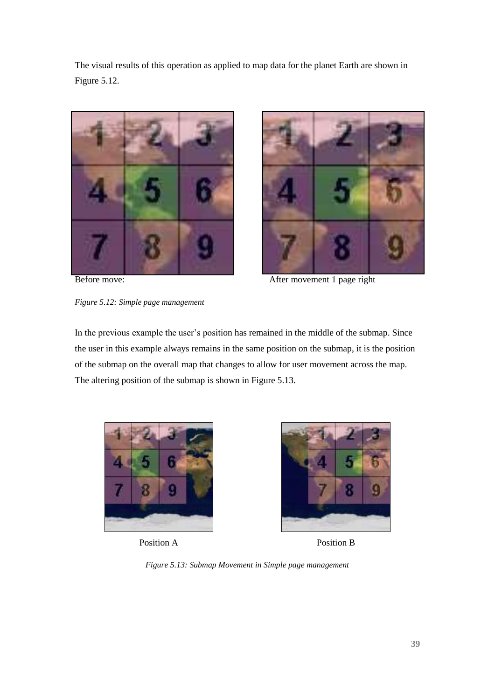The visual results of this operation as applied to map data for the planet Earth are shown in Figure 5.12.







Before move: After movement 1 page right

In the previous example the user's position has remained in the middle of the submap. Since the user in this example always remains in the same position on the submap, it is the position of the submap on the overall map that changes to allow for user movement across the map. The altering position of the submap is shown in Figure 5.13.





Position A Position B

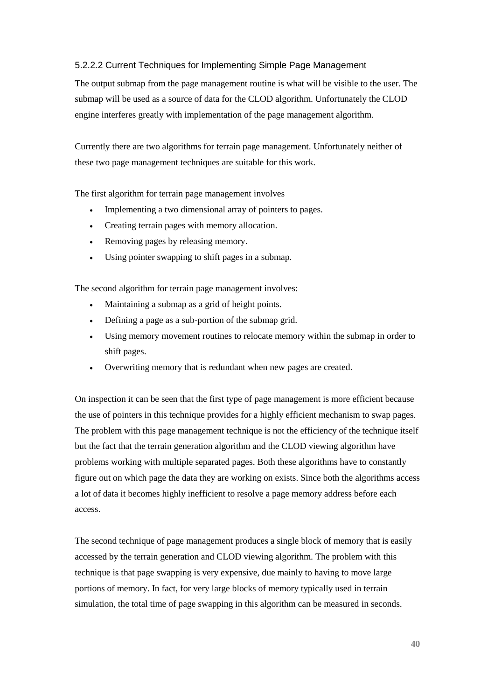## 5.2.2.2 Current Techniques for Implementing Simple Page Management

The output submap from the page management routine is what will be visible to the user. The submap will be used as a source of data for the CLOD algorithm. Unfortunately the CLOD engine interferes greatly with implementation of the page management algorithm.

Currently there are two algorithms for terrain page management. Unfortunately neither of these two page management techniques are suitable for this work.

The first algorithm for terrain page management involves

- Implementing a two dimensional array of pointers to pages.
- Creating terrain pages with memory allocation.
- Removing pages by releasing memory.
- Using pointer swapping to shift pages in a submap.

The second algorithm for terrain page management involves:

- Maintaining a submap as a grid of height points.
- Defining a page as a sub-portion of the submap grid.
- Using memory movement routines to relocate memory within the submap in order to shift pages.
- Overwriting memory that is redundant when new pages are created.

On inspection it can be seen that the first type of page management is more efficient because the use of pointers in this technique provides for a highly efficient mechanism to swap pages. The problem with this page management technique is not the efficiency of the technique itself but the fact that the terrain generation algorithm and the CLOD viewing algorithm have problems working with multiple separated pages. Both these algorithms have to constantly figure out on which page the data they are working on exists. Since both the algorithms access a lot of data it becomes highly inefficient to resolve a page memory address before each access.

The second technique of page management produces a single block of memory that is easily accessed by the terrain generation and CLOD viewing algorithm. The problem with this technique is that page swapping is very expensive, due mainly to having to move large portions of memory. In fact, for very large blocks of memory typically used in terrain simulation, the total time of page swapping in this algorithm can be measured in seconds.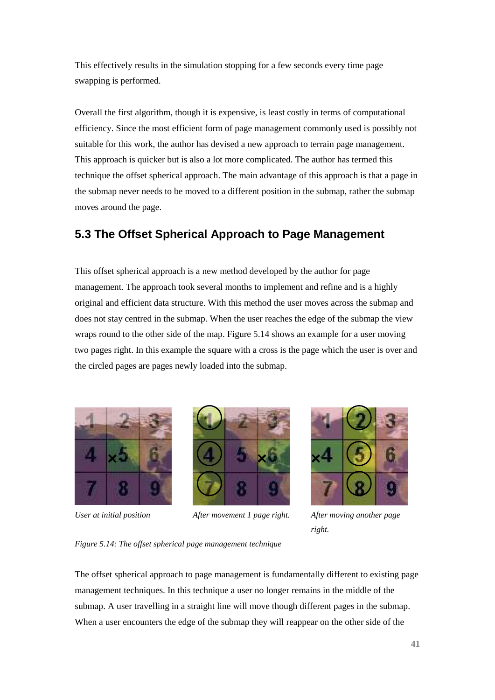This effectively results in the simulation stopping for a few seconds every time page swapping is performed.

Overall the first algorithm, though it is expensive, is least costly in terms of computational efficiency. Since the most efficient form of page management commonly used is possibly not suitable for this work, the author has devised a new approach to terrain page management. This approach is quicker but is also a lot more complicated. The author has termed this technique the offset spherical approach. The main advantage of this approach is that a page in the submap never needs to be moved to a different position in the submap, rather the submap moves around the page.

# **5.3 The Offset Spherical Approach to Page Management**

This offset spherical approach is a new method developed by the author for page management. The approach took several months to implement and refine and is a highly original and efficient data structure. With this method the user moves across the submap and does not stay centred in the submap. When the user reaches the edge of the submap the view wraps round to the other side of the map. Figure 5.14 shows an example for a user moving two pages right. In this example the square with a cross is the page which the user is over and the circled pages are pages newly loaded into the submap.





*User at initial position After movement 1 page right. After moving another page* 



*right.*

## *Figure 5.14: The offset spherical page management technique*

The offset spherical approach to page management is fundamentally different to existing page management techniques. In this technique a user no longer remains in the middle of the submap. A user travelling in a straight line will move though different pages in the submap. When a user encounters the edge of the submap they will reappear on the other side of the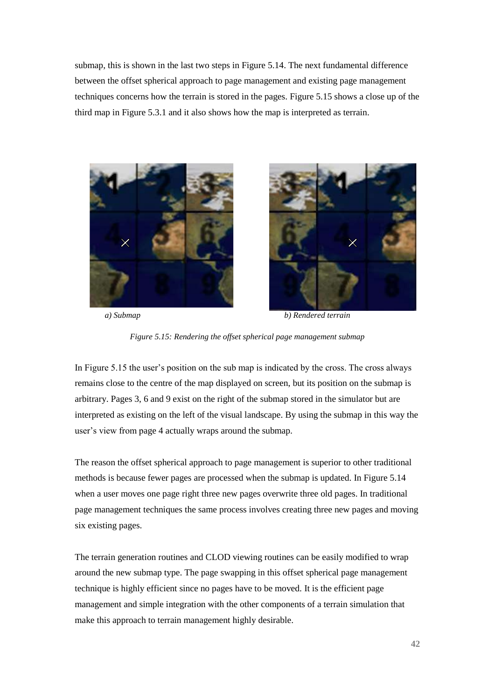submap, this is shown in the last two steps in Figure 5.14. The next fundamental difference between the offset spherical approach to page management and existing page management techniques concerns how the terrain is stored in the pages. Figure 5.15 shows a close up of the third map in Figure 5.3.1 and it also shows how the map is interpreted as terrain.





*a) Submap b) Rendered terrain*



In Figure 5.15 the user's position on the sub map is indicated by the cross. The cross always remains close to the centre of the map displayed on screen, but its position on the submap is arbitrary. Pages 3, 6 and 9 exist on the right of the submap stored in the simulator but are interpreted as existing on the left of the visual landscape. By using the submap in this way the user's view from page 4 actually wraps around the submap.

The reason the offset spherical approach to page management is superior to other traditional methods is because fewer pages are processed when the submap is updated. In Figure 5.14 when a user moves one page right three new pages overwrite three old pages. In traditional page management techniques the same process involves creating three new pages and moving six existing pages.

The terrain generation routines and CLOD viewing routines can be easily modified to wrap around the new submap type. The page swapping in this offset spherical page management technique is highly efficient since no pages have to be moved. It is the efficient page management and simple integration with the other components of a terrain simulation that make this approach to terrain management highly desirable.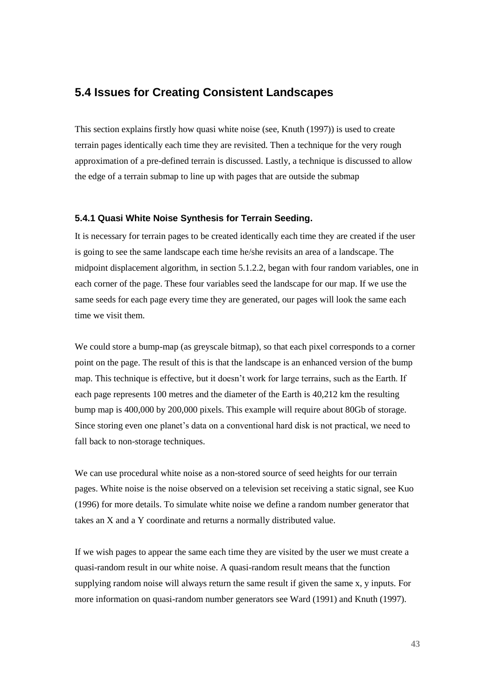## **5.4 Issues for Creating Consistent Landscapes**

This section explains firstly how quasi white noise (see, Knuth (1997)) is used to create terrain pages identically each time they are revisited. Then a technique for the very rough approximation of a pre-defined terrain is discussed. Lastly, a technique is discussed to allow the edge of a terrain submap to line up with pages that are outside the submap

### **5.4.1 Quasi White Noise Synthesis for Terrain Seeding.**

It is necessary for terrain pages to be created identically each time they are created if the user is going to see the same landscape each time he/she revisits an area of a landscape. The midpoint displacement algorithm, in section 5.1.2.2, began with four random variables, one in each corner of the page. These four variables seed the landscape for our map. If we use the same seeds for each page every time they are generated, our pages will look the same each time we visit them.

We could store a bump-map (as greyscale bitmap), so that each pixel corresponds to a corner point on the page. The result of this is that the landscape is an enhanced version of the bump map. This technique is effective, but it doesn't work for large terrains, such as the Earth. If each page represents 100 metres and the diameter of the Earth is 40,212 km the resulting bump map is 400,000 by 200,000 pixels. This example will require about 80Gb of storage. Since storing even one planet's data on a conventional hard disk is not practical, we need to fall back to non-storage techniques.

We can use procedural white noise as a non-stored source of seed heights for our terrain pages. White noise is the noise observed on a television set receiving a static signal, see Kuo (1996) for more details. To simulate white noise we define a random number generator that takes an X and a Y coordinate and returns a normally distributed value.

If we wish pages to appear the same each time they are visited by the user we must create a quasi-random result in our white noise. A quasi-random result means that the function supplying random noise will always return the same result if given the same x, y inputs. For more information on quasi-random number generators see Ward (1991) and Knuth (1997).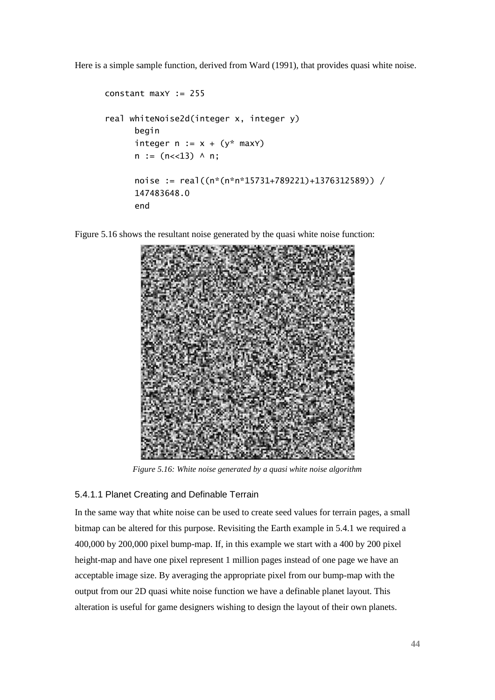Here is a simple sample function, derived from Ward (1991), that provides quasi white noise.

```
constant maxY := 255
real whiteNoise2d(integer x, integer y)
      begin
      integer n := x + (y^* \text{ max}y)n := (n \lt 13) \land n;noise := real((n*(n*n*15731+789221)+1376312589)) / 
      147483648.0
      end
```
Figure 5.16 shows the resultant noise generated by the quasi white noise function:



*Figure 5.16: White noise generated by a quasi white noise algorithm*

# 5.4.1.1 Planet Creating and Definable Terrain

In the same way that white noise can be used to create seed values for terrain pages, a small bitmap can be altered for this purpose. Revisiting the Earth example in 5.4.1 we required a 400,000 by 200,000 pixel bump-map. If, in this example we start with a 400 by 200 pixel height-map and have one pixel represent 1 million pages instead of one page we have an acceptable image size. By averaging the appropriate pixel from our bump-map with the output from our 2D quasi white noise function we have a definable planet layout. This alteration is useful for game designers wishing to design the layout of their own planets.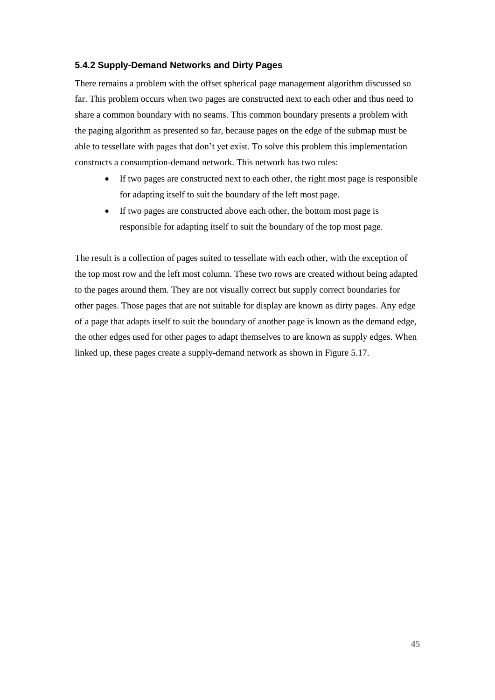## **5.4.2 Supply-Demand Networks and Dirty Pages**

There remains a problem with the offset spherical page management algorithm discussed so far. This problem occurs when two pages are constructed next to each other and thus need to share a common boundary with no seams. This common boundary presents a problem with the paging algorithm as presented so far, because pages on the edge of the submap must be able to tessellate with pages that don't yet exist. To solve this problem this implementation constructs a consumption-demand network. This network has two rules:

- If two pages are constructed next to each other, the right most page is responsible for adapting itself to suit the boundary of the left most page.
- If two pages are constructed above each other, the bottom most page is responsible for adapting itself to suit the boundary of the top most page.

The result is a collection of pages suited to tessellate with each other, with the exception of the top most row and the left most column. These two rows are created without being adapted to the pages around them. They are not visually correct but supply correct boundaries for other pages. Those pages that are not suitable for display are known as dirty pages. Any edge of a page that adapts itself to suit the boundary of another page is known as the demand edge, the other edges used for other pages to adapt themselves to are known as supply edges. When linked up, these pages create a supply-demand network as shown in Figure 5.17.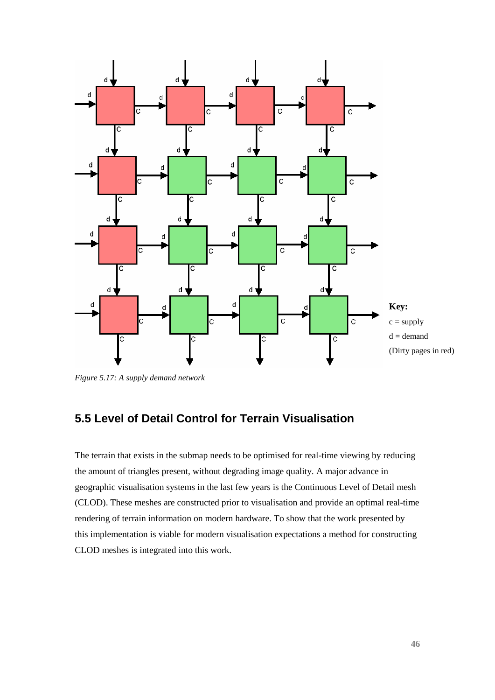

*Figure 5.17: A supply demand network*

# **5.5 Level of Detail Control for Terrain Visualisation**

The terrain that exists in the submap needs to be optimised for real-time viewing by reducing the amount of triangles present, without degrading image quality. A major advance in geographic visualisation systems in the last few years is the Continuous Level of Detail mesh (CLOD). These meshes are constructed prior to visualisation and provide an optimal real-time rendering of terrain information on modern hardware. To show that the work presented by this implementation is viable for modern visualisation expectations a method for constructing CLOD meshes is integrated into this work.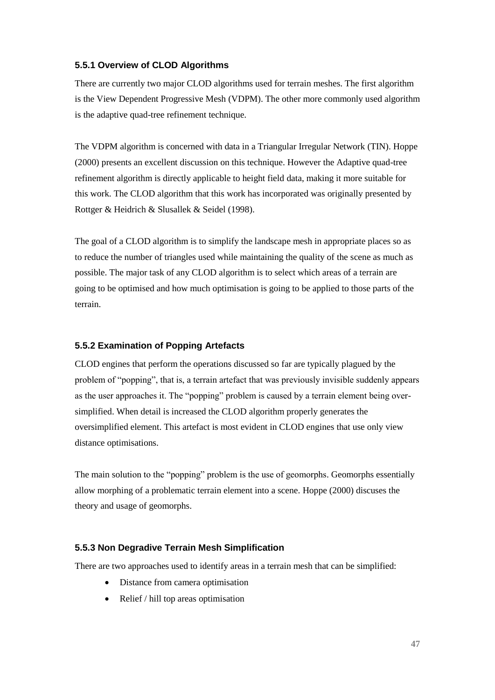## **5.5.1 Overview of CLOD Algorithms**

There are currently two major CLOD algorithms used for terrain meshes. The first algorithm is the View Dependent Progressive Mesh (VDPM). The other more commonly used algorithm is the adaptive quad-tree refinement technique.

The VDPM algorithm is concerned with data in a Triangular Irregular Network (TIN). Hoppe (2000) presents an excellent discussion on this technique. However the Adaptive quad-tree refinement algorithm is directly applicable to height field data, making it more suitable for this work. The CLOD algorithm that this work has incorporated was originally presented by Rottger & Heidrich & Slusallek & Seidel (1998).

The goal of a CLOD algorithm is to simplify the landscape mesh in appropriate places so as to reduce the number of triangles used while maintaining the quality of the scene as much as possible. The major task of any CLOD algorithm is to select which areas of a terrain are going to be optimised and how much optimisation is going to be applied to those parts of the terrain.

## **5.5.2 Examination of Popping Artefacts**

CLOD engines that perform the operations discussed so far are typically plagued by the problem of "popping", that is, a terrain artefact that was previously invisible suddenly appears as the user approaches it. The "popping" problem is caused by a terrain element being oversimplified. When detail is increased the CLOD algorithm properly generates the oversimplified element. This artefact is most evident in CLOD engines that use only view distance optimisations.

The main solution to the "popping" problem is the use of geomorphs. Geomorphs essentially allow morphing of a problematic terrain element into a scene. Hoppe (2000) discuses the theory and usage of geomorphs.

#### **5.5.3 Non Degradive Terrain Mesh Simplification**

There are two approaches used to identify areas in a terrain mesh that can be simplified:

- Distance from camera optimisation
- Relief / hill top areas optimisation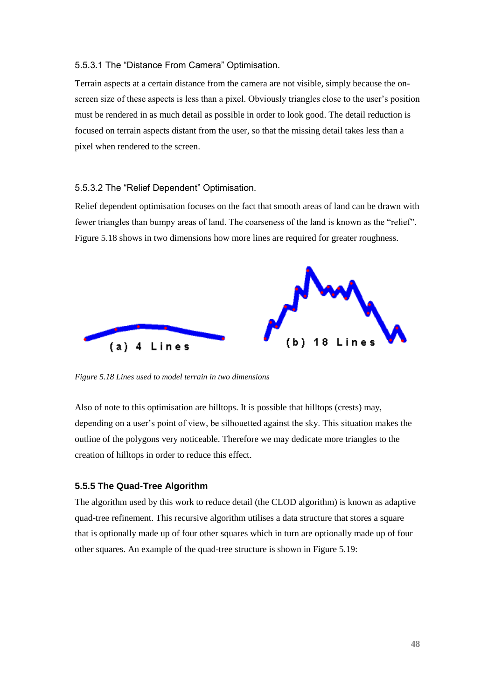#### 5.5.3.1 The "Distance From Camera" Optimisation.

Terrain aspects at a certain distance from the camera are not visible, simply because the onscreen size of these aspects is less than a pixel. Obviously triangles close to the user's position must be rendered in as much detail as possible in order to look good. The detail reduction is focused on terrain aspects distant from the user, so that the missing detail takes less than a pixel when rendered to the screen.

#### 5.5.3.2 The "Relief Dependent" Optimisation.

Relief dependent optimisation focuses on the fact that smooth areas of land can be drawn with fewer triangles than bumpy areas of land. The coarseness of the land is known as the "relief". Figure 5.18 shows in two dimensions how more lines are required for greater roughness.



*Figure 5.18 Lines used to model terrain in two dimensions*

Also of note to this optimisation are hilltops. It is possible that hilltops (crests) may, depending on a user's point of view, be silhouetted against the sky. This situation makes the outline of the polygons very noticeable. Therefore we may dedicate more triangles to the creation of hilltops in order to reduce this effect.

#### **5.5.5 The Quad-Tree Algorithm**

The algorithm used by this work to reduce detail (the CLOD algorithm) is known as adaptive quad-tree refinement. This recursive algorithm utilises a data structure that stores a square that is optionally made up of four other squares which in turn are optionally made up of four other squares. An example of the quad-tree structure is shown in Figure 5.19: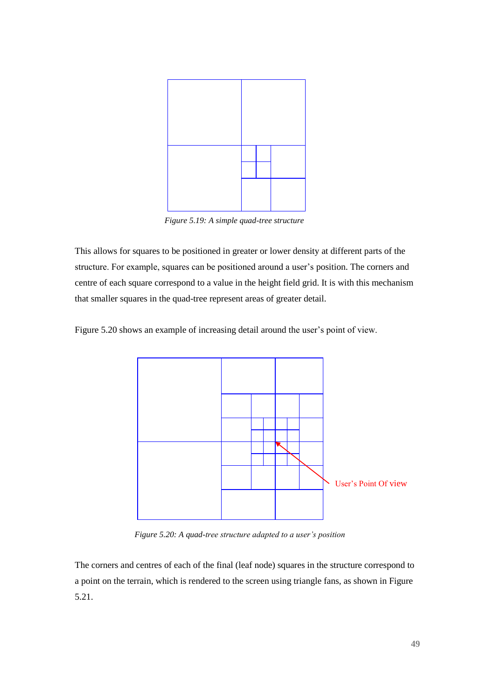

*Figure 5.19: A simple quad-tree structure*

This allows for squares to be positioned in greater or lower density at different parts of the structure. For example, squares can be positioned around a user's position. The corners and centre of each square correspond to a value in the height field grid. It is with this mechanism that smaller squares in the quad-tree represent areas of greater detail.

Figure 5.20 shows an example of increasing detail around the user's point of view.



*Figure 5.20: A quad-tree structure adapted to a user's position*

The corners and centres of each of the final (leaf node) squares in the structure correspond to a point on the terrain, which is rendered to the screen using triangle fans, as shown in Figure 5.21.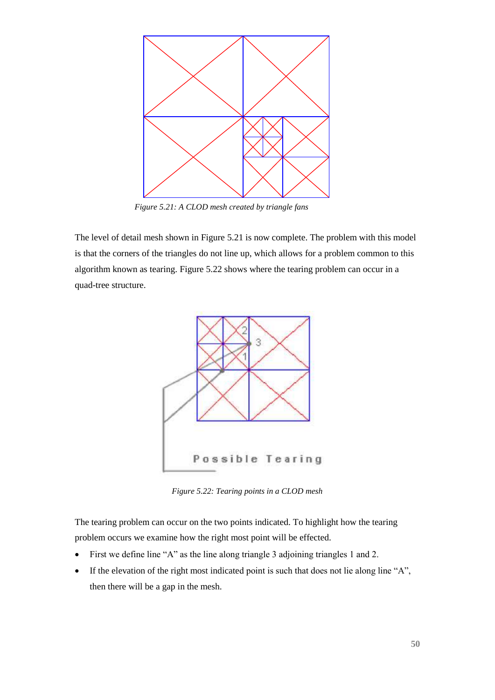

*Figure 5.21: A CLOD mesh created by triangle fans*

The level of detail mesh shown in Figure 5.21 is now complete. The problem with this model is that the corners of the triangles do not line up, which allows for a problem common to this algorithm known as tearing. Figure 5.22 shows where the tearing problem can occur in a quad-tree structure.



*Figure 5.22: Tearing points in a CLOD mesh*

The tearing problem can occur on the two points indicated. To highlight how the tearing problem occurs we examine how the right most point will be effected.

- First we define line "A" as the line along triangle 3 adjoining triangles 1 and 2.
- If the elevation of the right most indicated point is such that does not lie along line "A", then there will be a gap in the mesh.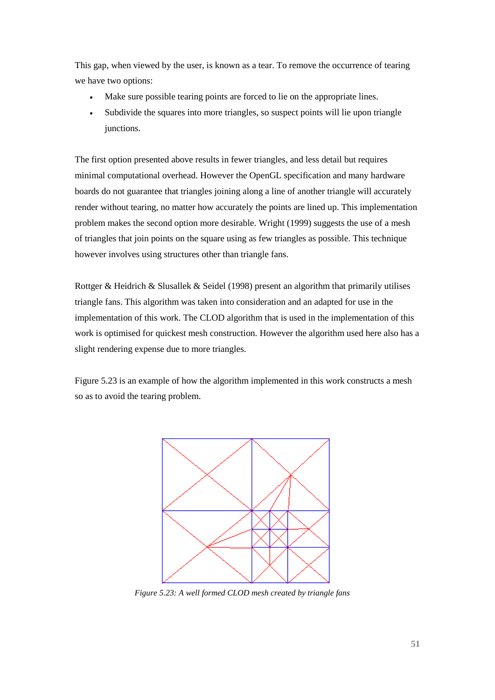This gap, when viewed by the user, is known as a tear. To remove the occurrence of tearing we have two options:

- Make sure possible tearing points are forced to lie on the appropriate lines.
- Subdivide the squares into more triangles, so suspect points will lie upon triangle junctions.

The first option presented above results in fewer triangles, and less detail but requires minimal computational overhead. However the OpenGL specification and many hardware boards do not guarantee that triangles joining along a line of another triangle will accurately render without tearing, no matter how accurately the points are lined up. This implementation problem makes the second option more desirable. Wright (1999) suggests the use of a mesh of triangles that join points on the square using as few triangles as possible. This technique however involves using structures other than triangle fans.

Rottger & Heidrich & Slusallek & Seidel (1998) present an algorithm that primarily utilises triangle fans. This algorithm was taken into consideration and an adapted for use in the implementation of this work. The CLOD algorithm that is used in the implementation of this work is optimised for quickest mesh construction. However the algorithm used here also has a slight rendering expense due to more triangles.

Figure 5.23 is an example of how the algorithm implemented in this work constructs a mesh so as to avoid the tearing problem.



*Figure 5.23: A well formed CLOD mesh created by triangle fans*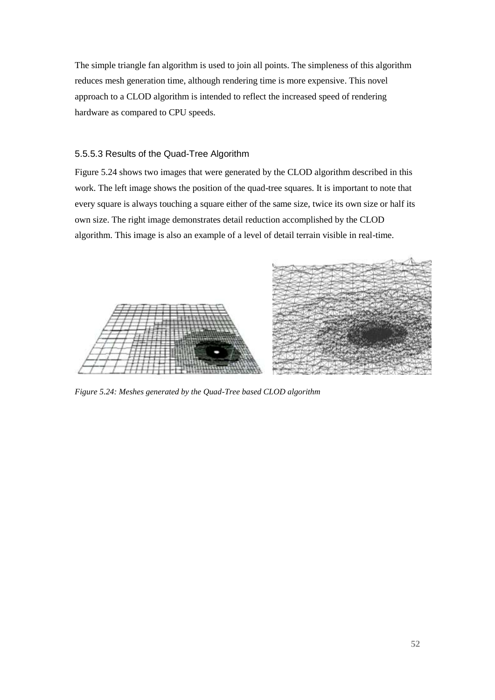The simple triangle fan algorithm is used to join all points. The simpleness of this algorithm reduces mesh generation time, although rendering time is more expensive. This novel approach to a CLOD algorithm is intended to reflect the increased speed of rendering hardware as compared to CPU speeds.

## 5.5.5.3 Results of the Quad-Tree Algorithm

Figure 5.24 shows two images that were generated by the CLOD algorithm described in this work. The left image shows the position of the quad-tree squares. It is important to note that every square is always touching a square either of the same size, twice its own size or half its own size. The right image demonstrates detail reduction accomplished by the CLOD algorithm. This image is also an example of a level of detail terrain visible in real-time.



*Figure 5.24: Meshes generated by the Quad-Tree based CLOD algorithm*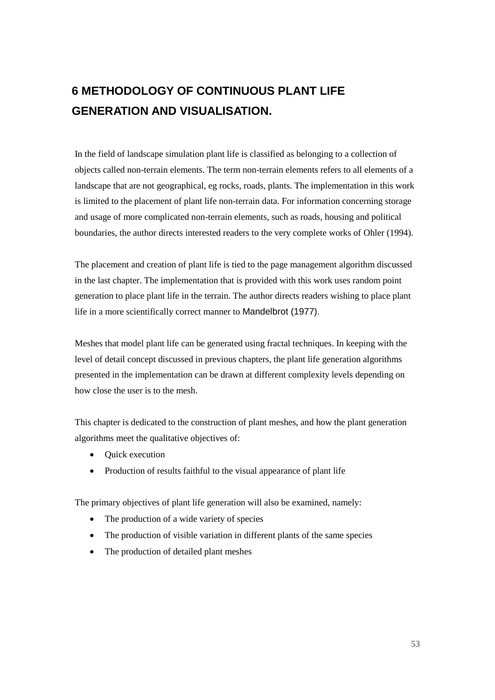# **6 METHODOLOGY OF CONTINUOUS PLANT LIFE GENERATION AND VISUALISATION.**

In the field of landscape simulation plant life is classified as belonging to a collection of objects called non-terrain elements. The term non-terrain elements refers to all elements of a landscape that are not geographical, eg rocks, roads, plants. The implementation in this work is limited to the placement of plant life non-terrain data. For information concerning storage and usage of more complicated non-terrain elements, such as roads, housing and political boundaries, the author directs interested readers to the very complete works of Ohler (1994).

The placement and creation of plant life is tied to the page management algorithm discussed in the last chapter. The implementation that is provided with this work uses random point generation to place plant life in the terrain. The author directs readers wishing to place plant life in a more scientifically correct manner to Mandelbrot (1977).

Meshes that model plant life can be generated using fractal techniques. In keeping with the level of detail concept discussed in previous chapters, the plant life generation algorithms presented in the implementation can be drawn at different complexity levels depending on how close the user is to the mesh.

This chapter is dedicated to the construction of plant meshes, and how the plant generation algorithms meet the qualitative objectives of:

- Ouick execution
- Production of results faithful to the visual appearance of plant life

The primary objectives of plant life generation will also be examined, namely:

- The production of a wide variety of species
- The production of visible variation in different plants of the same species
- The production of detailed plant meshes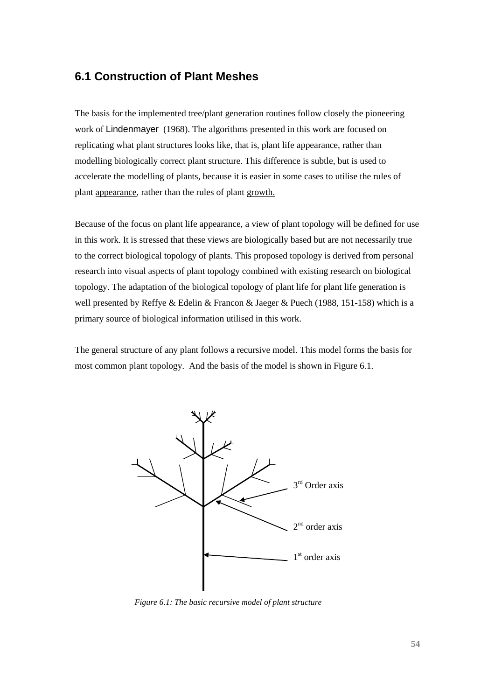# **6.1 Construction of Plant Meshes**

The basis for the implemented tree/plant generation routines follow closely the pioneering work of Lindenmayer (1968). The algorithms presented in this work are focused on replicating what plant structures looks like, that is, plant life appearance, rather than modelling biologically correct plant structure. This difference is subtle, but is used to accelerate the modelling of plants, because it is easier in some cases to utilise the rules of plant appearance, rather than the rules of plant growth.

Because of the focus on plant life appearance, a view of plant topology will be defined for use in this work. It is stressed that these views are biologically based but are not necessarily true to the correct biological topology of plants. This proposed topology is derived from personal research into visual aspects of plant topology combined with existing research on biological topology. The adaptation of the biological topology of plant life for plant life generation is well presented by Reffye & Edelin & Francon & Jaeger & Puech (1988, 151-158) which is a primary source of biological information utilised in this work.

The general structure of any plant follows a recursive model. This model forms the basis for most common plant topology. And the basis of the model is shown in Figure 6.1.



*Figure 6.1: The basic recursive model of plant structure*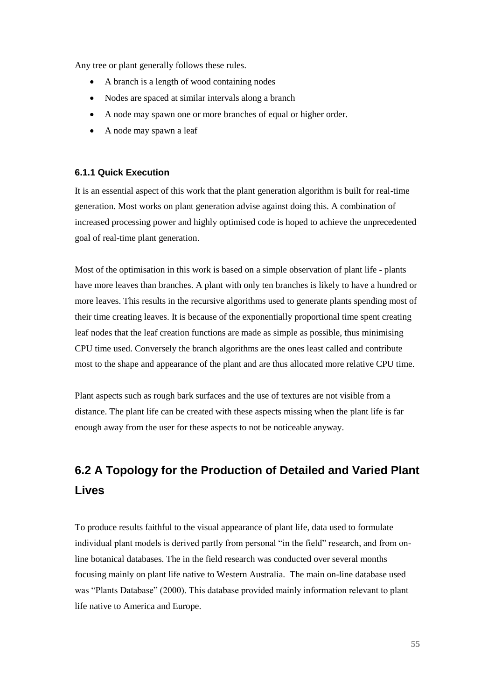Any tree or plant generally follows these rules.

- A branch is a length of wood containing nodes
- Nodes are spaced at similar intervals along a branch
- A node may spawn one or more branches of equal or higher order.
- A node may spawn a leaf

## **6.1.1 Quick Execution**

It is an essential aspect of this work that the plant generation algorithm is built for real-time generation. Most works on plant generation advise against doing this. A combination of increased processing power and highly optimised code is hoped to achieve the unprecedented goal of real-time plant generation.

Most of the optimisation in this work is based on a simple observation of plant life - plants have more leaves than branches. A plant with only ten branches is likely to have a hundred or more leaves. This results in the recursive algorithms used to generate plants spending most of their time creating leaves. It is because of the exponentially proportional time spent creating leaf nodes that the leaf creation functions are made as simple as possible, thus minimising CPU time used. Conversely the branch algorithms are the ones least called and contribute most to the shape and appearance of the plant and are thus allocated more relative CPU time.

Plant aspects such as rough bark surfaces and the use of textures are not visible from a distance. The plant life can be created with these aspects missing when the plant life is far enough away from the user for these aspects to not be noticeable anyway.

# **6.2 A Topology for the Production of Detailed and Varied Plant Lives**

To produce results faithful to the visual appearance of plant life, data used to formulate individual plant models is derived partly from personal "in the field" research, and from online botanical databases. The in the field research was conducted over several months focusing mainly on plant life native to Western Australia. The main on-line database used was "Plants Database" (2000). This database provided mainly information relevant to plant life native to America and Europe.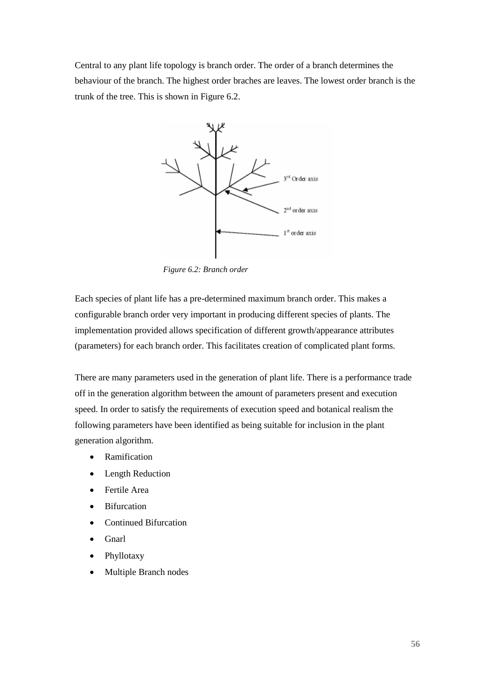Central to any plant life topology is branch order. The order of a branch determines the behaviour of the branch. The highest order braches are leaves. The lowest order branch is the trunk of the tree. This is shown in Figure 6.2.



*Figure 6.2: Branch order*

Each species of plant life has a pre-determined maximum branch order. This makes a configurable branch order very important in producing different species of plants. The implementation provided allows specification of different growth/appearance attributes (parameters) for each branch order. This facilitates creation of complicated plant forms.

There are many parameters used in the generation of plant life. There is a performance trade off in the generation algorithm between the amount of parameters present and execution speed. In order to satisfy the requirements of execution speed and botanical realism the following parameters have been identified as being suitable for inclusion in the plant generation algorithm.

- Ramification
- Length Reduction
- Fertile Area
- **Bifurcation**
- Continued Bifurcation
- Gnarl
- Phyllotaxy
- Multiple Branch nodes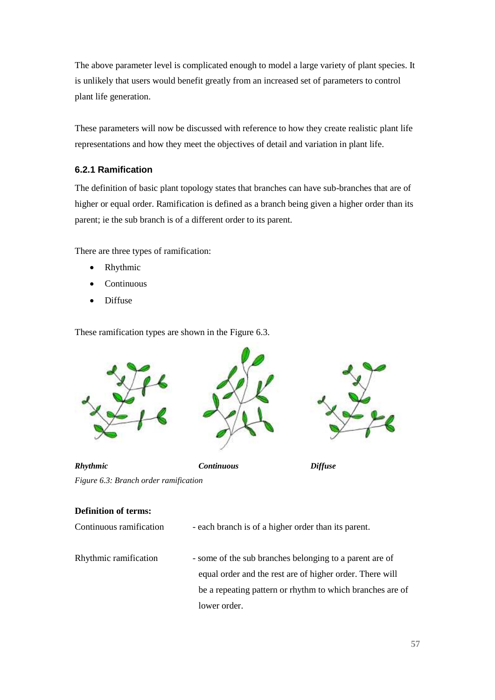The above parameter level is complicated enough to model a large variety of plant species. It is unlikely that users would benefit greatly from an increased set of parameters to control plant life generation.

These parameters will now be discussed with reference to how they create realistic plant life representations and how they meet the objectives of detail and variation in plant life.

## **6.2.1 Ramification**

The definition of basic plant topology states that branches can have sub-branches that are of higher or equal order. Ramification is defined as a branch being given a higher order than its parent; ie the sub branch is of a different order to its parent.

There are three types of ramification:

- Rhythmic
- Continuous
- Diffuse

These ramification types are shown in the Figure 6.3.



| <b>Definition of terms:</b> |  |
|-----------------------------|--|
|-----------------------------|--|

| Continuous ramification | - each branch is of a higher order than its parent.       |
|-------------------------|-----------------------------------------------------------|
| Rhythmic ramification   | - some of the sub branches belonging to a parent are of   |
|                         | equal order and the rest are of higher order. There will  |
|                         | be a repeating pattern or rhythm to which branches are of |
|                         | lower order.                                              |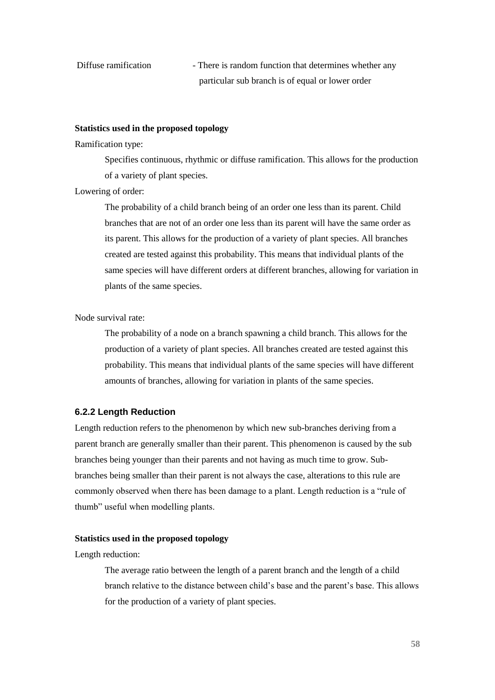Diffuse ramification - There is random function that determines whether any particular sub branch is of equal or lower order

#### **Statistics used in the proposed topology**

#### Ramification type:

Specifies continuous, rhythmic or diffuse ramification. This allows for the production of a variety of plant species.

## Lowering of order:

The probability of a child branch being of an order one less than its parent. Child branches that are not of an order one less than its parent will have the same order as its parent. This allows for the production of a variety of plant species. All branches created are tested against this probability. This means that individual plants of the same species will have different orders at different branches, allowing for variation in plants of the same species.

Node survival rate:

The probability of a node on a branch spawning a child branch. This allows for the production of a variety of plant species. All branches created are tested against this probability. This means that individual plants of the same species will have different amounts of branches, allowing for variation in plants of the same species.

#### **6.2.2 Length Reduction**

Length reduction refers to the phenomenon by which new sub-branches deriving from a parent branch are generally smaller than their parent. This phenomenon is caused by the sub branches being younger than their parents and not having as much time to grow. Subbranches being smaller than their parent is not always the case, alterations to this rule are commonly observed when there has been damage to a plant. Length reduction is a "rule of thumb" useful when modelling plants.

#### **Statistics used in the proposed topology**

Length reduction:

The average ratio between the length of a parent branch and the length of a child branch relative to the distance between child's base and the parent's base. This allows for the production of a variety of plant species.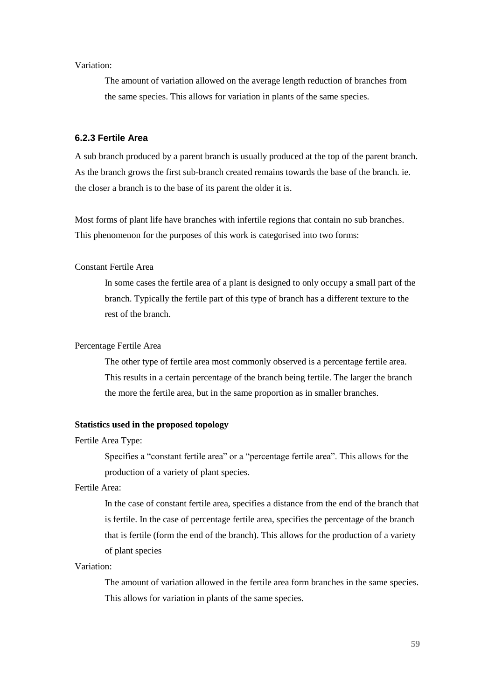Variation:

The amount of variation allowed on the average length reduction of branches from the same species. This allows for variation in plants of the same species.

#### **6.2.3 Fertile Area**

A sub branch produced by a parent branch is usually produced at the top of the parent branch. As the branch grows the first sub-branch created remains towards the base of the branch. ie. the closer a branch is to the base of its parent the older it is.

Most forms of plant life have branches with infertile regions that contain no sub branches. This phenomenon for the purposes of this work is categorised into two forms:

#### Constant Fertile Area

In some cases the fertile area of a plant is designed to only occupy a small part of the branch. Typically the fertile part of this type of branch has a different texture to the rest of the branch.

## Percentage Fertile Area

The other type of fertile area most commonly observed is a percentage fertile area. This results in a certain percentage of the branch being fertile. The larger the branch the more the fertile area, but in the same proportion as in smaller branches.

#### **Statistics used in the proposed topology**

Fertile Area Type:

Specifies a "constant fertile area" or a "percentage fertile area". This allows for the production of a variety of plant species.

Fertile Area:

In the case of constant fertile area, specifies a distance from the end of the branch that is fertile. In the case of percentage fertile area, specifies the percentage of the branch that is fertile (form the end of the branch). This allows for the production of a variety of plant species

#### Variation:

The amount of variation allowed in the fertile area form branches in the same species. This allows for variation in plants of the same species.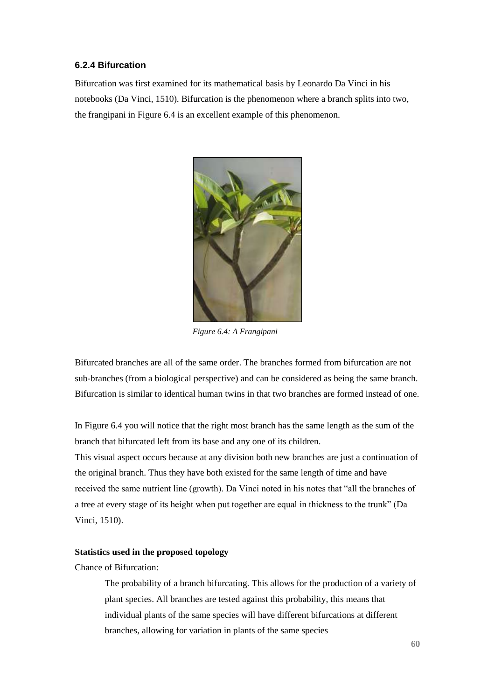## **6.2.4 Bifurcation**

Bifurcation was first examined for its mathematical basis by Leonardo Da Vinci in his notebooks (Da Vinci, 1510). Bifurcation is the phenomenon where a branch splits into two, the frangipani in Figure 6.4 is an excellent example of this phenomenon.



*Figure 6.4: A Frangipani*

Bifurcated branches are all of the same order. The branches formed from bifurcation are not sub-branches (from a biological perspective) and can be considered as being the same branch. Bifurcation is similar to identical human twins in that two branches are formed instead of one.

In Figure 6.4 you will notice that the right most branch has the same length as the sum of the branch that bifurcated left from its base and any one of its children.

This visual aspect occurs because at any division both new branches are just a continuation of the original branch. Thus they have both existed for the same length of time and have received the same nutrient line (growth). Da Vinci noted in his notes that "all the branches of a tree at every stage of its height when put together are equal in thickness to the trunk" (Da Vinci, 1510).

## **Statistics used in the proposed topology**

## Chance of Bifurcation:

The probability of a branch bifurcating. This allows for the production of a variety of plant species. All branches are tested against this probability, this means that individual plants of the same species will have different bifurcations at different branches, allowing for variation in plants of the same species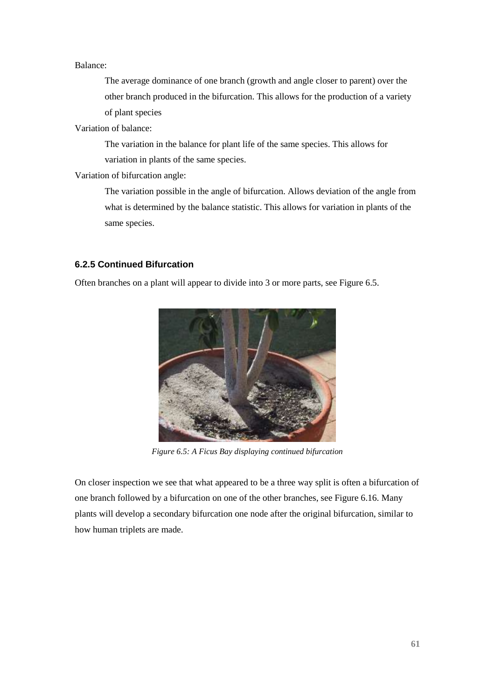#### Balance:

The average dominance of one branch (growth and angle closer to parent) over the other branch produced in the bifurcation. This allows for the production of a variety of plant species

Variation of balance:

The variation in the balance for plant life of the same species. This allows for variation in plants of the same species.

Variation of bifurcation angle:

The variation possible in the angle of bifurcation. Allows deviation of the angle from what is determined by the balance statistic. This allows for variation in plants of the same species.

## **6.2.5 Continued Bifurcation**

Often branches on a plant will appear to divide into 3 or more parts, see Figure 6.5.



*Figure 6.5: A Ficus Bay displaying continued bifurcation*

On closer inspection we see that what appeared to be a three way split is often a bifurcation of one branch followed by a bifurcation on one of the other branches, see Figure 6.16. Many plants will develop a secondary bifurcation one node after the original bifurcation, similar to how human triplets are made.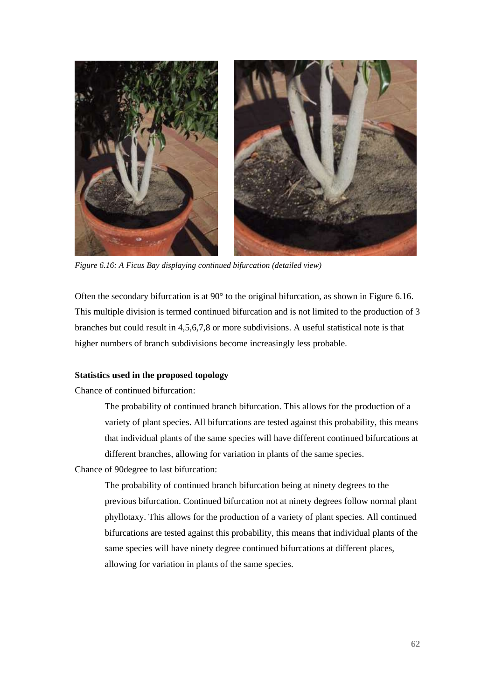

*Figure 6.16: A Ficus Bay displaying continued bifurcation (detailed view)* 

Often the secondary bifurcation is at  $90^{\circ}$  to the original bifurcation, as shown in Figure 6.16. This multiple division is termed continued bifurcation and is not limited to the production of 3 branches but could result in 4,5,6,7,8 or more subdivisions. A useful statistical note is that higher numbers of branch subdivisions become increasingly less probable.

#### **Statistics used in the proposed topology**

Chance of continued bifurcation:

The probability of continued branch bifurcation. This allows for the production of a variety of plant species. All bifurcations are tested against this probability, this means that individual plants of the same species will have different continued bifurcations at different branches, allowing for variation in plants of the same species.

Chance of 90degree to last bifurcation:

The probability of continued branch bifurcation being at ninety degrees to the previous bifurcation. Continued bifurcation not at ninety degrees follow normal plant phyllotaxy. This allows for the production of a variety of plant species. All continued bifurcations are tested against this probability, this means that individual plants of the same species will have ninety degree continued bifurcations at different places, allowing for variation in plants of the same species.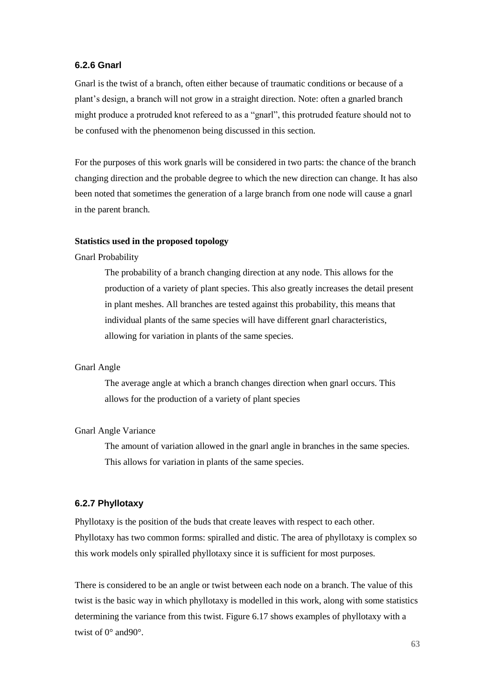## **6.2.6 Gnarl**

Gnarl is the twist of a branch, often either because of traumatic conditions or because of a plant's design, a branch will not grow in a straight direction. Note: often a gnarled branch might produce a protruded knot refereed to as a "gnarl", this protruded feature should not to be confused with the phenomenon being discussed in this section.

For the purposes of this work gnarls will be considered in two parts: the chance of the branch changing direction and the probable degree to which the new direction can change. It has also been noted that sometimes the generation of a large branch from one node will cause a gnarl in the parent branch.

#### **Statistics used in the proposed topology**

#### Gnarl Probability

The probability of a branch changing direction at any node. This allows for the production of a variety of plant species. This also greatly increases the detail present in plant meshes. All branches are tested against this probability, this means that individual plants of the same species will have different gnarl characteristics, allowing for variation in plants of the same species.

#### Gnarl Angle

The average angle at which a branch changes direction when gnarl occurs. This allows for the production of a variety of plant species

#### Gnarl Angle Variance

The amount of variation allowed in the gnarl angle in branches in the same species. This allows for variation in plants of the same species.

#### **6.2.7 Phyllotaxy**

Phyllotaxy is the position of the buds that create leaves with respect to each other. Phyllotaxy has two common forms: spiralled and distic. The area of phyllotaxy is complex so this work models only spiralled phyllotaxy since it is sufficient for most purposes.

There is considered to be an angle or twist between each node on a branch. The value of this twist is the basic way in which phyllotaxy is modelled in this work, along with some statistics determining the variance from this twist. Figure 6.17 shows examples of phyllotaxy with a twist of 0° and90°.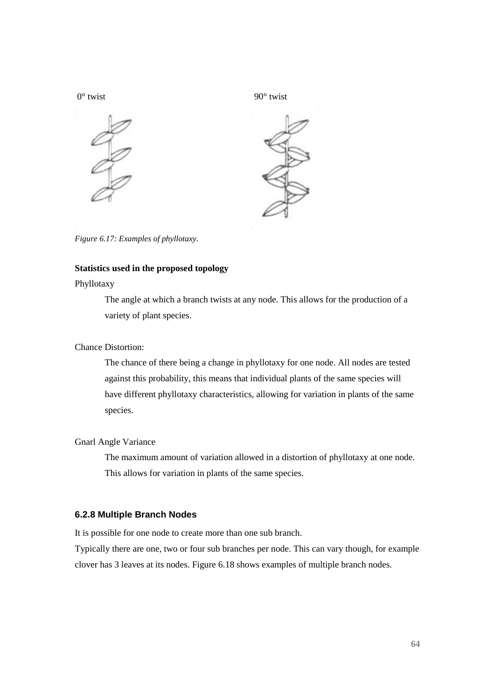



*Figure 6.17: Examples of phyllotaxy.*

## **Statistics used in the proposed topology**

## Phyllotaxy

The angle at which a branch twists at any node. This allows for the production of a variety of plant species.

## Chance Distortion:

The chance of there being a change in phyllotaxy for one node. All nodes are tested against this probability, this means that individual plants of the same species will have different phyllotaxy characteristics, allowing for variation in plants of the same species.

## Gnarl Angle Variance

The maximum amount of variation allowed in a distortion of phyllotaxy at one node. This allows for variation in plants of the same species.

## **6.2.8 Multiple Branch Nodes**

It is possible for one node to create more than one sub branch.

Typically there are one, two or four sub branches per node. This can vary though, for example clover has 3 leaves at its nodes. Figure 6.18 shows examples of multiple branch nodes.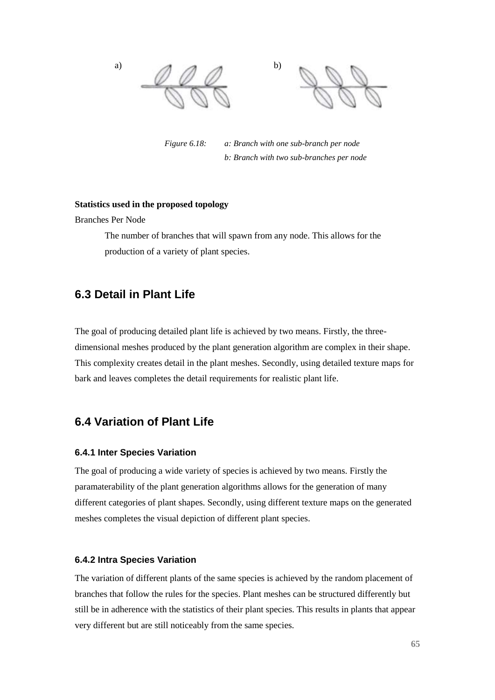a)  $\land \land \land$  b)

*Figure 6.18: a: Branch with one sub-branch per node b: Branch with two sub-branches per node* 

## **Statistics used in the proposed topology**

Branches Per Node

The number of branches that will spawn from any node. This allows for the production of a variety of plant species.

# **6.3 Detail in Plant Life**

The goal of producing detailed plant life is achieved by two means. Firstly, the threedimensional meshes produced by the plant generation algorithm are complex in their shape. This complexity creates detail in the plant meshes. Secondly, using detailed texture maps for bark and leaves completes the detail requirements for realistic plant life.

# **6.4 Variation of Plant Life**

#### **6.4.1 Inter Species Variation**

The goal of producing a wide variety of species is achieved by two means. Firstly the paramaterability of the plant generation algorithms allows for the generation of many different categories of plant shapes. Secondly, using different texture maps on the generated meshes completes the visual depiction of different plant species.

## **6.4.2 Intra Species Variation**

The variation of different plants of the same species is achieved by the random placement of branches that follow the rules for the species. Plant meshes can be structured differently but still be in adherence with the statistics of their plant species. This results in plants that appear very different but are still noticeably from the same species.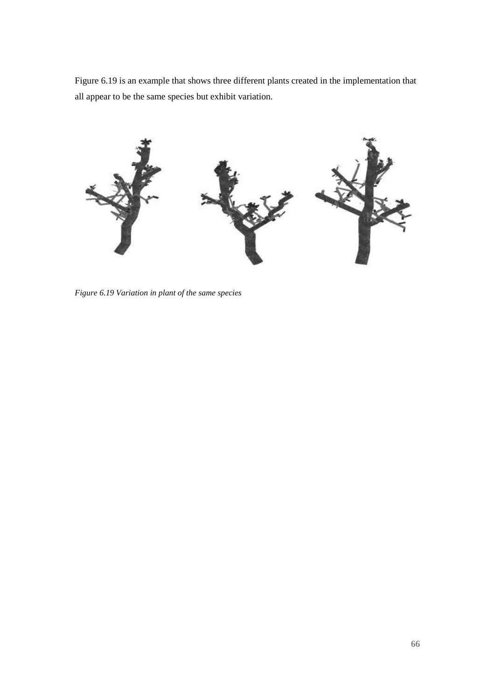Figure 6.19 is an example that shows three different plants created in the implementation that all appear to be the same species but exhibit variation.



*Figure 6.19 Variation in plant of the same species*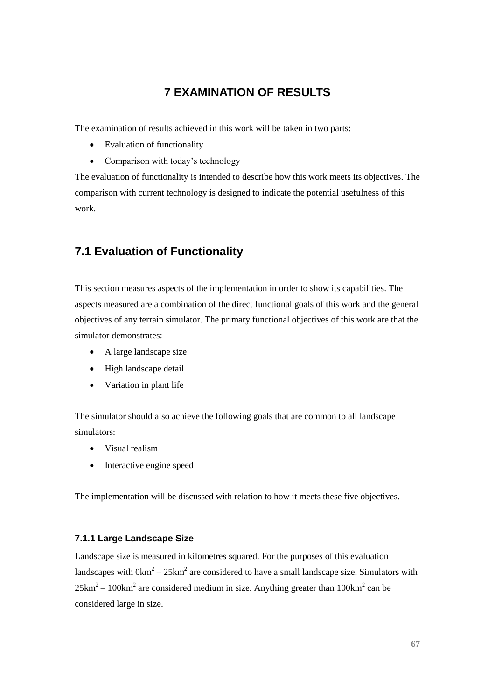# **7 EXAMINATION OF RESULTS**

The examination of results achieved in this work will be taken in two parts:

- Evaluation of functionality
- Comparison with today's technology

The evaluation of functionality is intended to describe how this work meets its objectives. The comparison with current technology is designed to indicate the potential usefulness of this work.

# **7.1 Evaluation of Functionality**

This section measures aspects of the implementation in order to show its capabilities. The aspects measured are a combination of the direct functional goals of this work and the general objectives of any terrain simulator. The primary functional objectives of this work are that the simulator demonstrates:

- A large landscape size
- High landscape detail
- Variation in plant life

The simulator should also achieve the following goals that are common to all landscape simulators:

- Visual realism
- Interactive engine speed

The implementation will be discussed with relation to how it meets these five objectives.

## **7.1.1 Large Landscape Size**

Landscape size is measured in kilometres squared. For the purposes of this evaluation landscapes with  $0 \text{km}^2 - 25 \text{km}^2$  are considered to have a small landscape size. Simulators with  $25 \text{km}^2 - 100 \text{km}^2$  are considered medium in size. Anything greater than  $100 \text{km}^2$  can be considered large in size.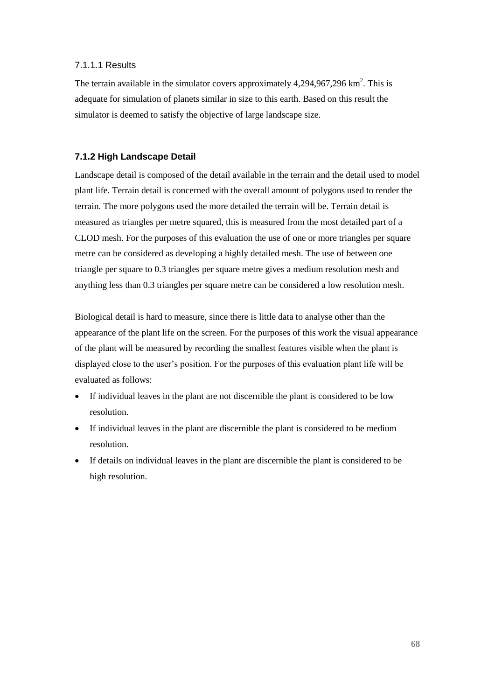## 7.1.1.1 Results

The terrain available in the simulator covers approximately  $4,294,967,296$  km<sup>2</sup>. This is adequate for simulation of planets similar in size to this earth. Based on this result the simulator is deemed to satisfy the objective of large landscape size.

#### **7.1.2 High Landscape Detail**

Landscape detail is composed of the detail available in the terrain and the detail used to model plant life. Terrain detail is concerned with the overall amount of polygons used to render the terrain. The more polygons used the more detailed the terrain will be. Terrain detail is measured as triangles per metre squared, this is measured from the most detailed part of a CLOD mesh. For the purposes of this evaluation the use of one or more triangles per square metre can be considered as developing a highly detailed mesh. The use of between one triangle per square to 0.3 triangles per square metre gives a medium resolution mesh and anything less than 0.3 triangles per square metre can be considered a low resolution mesh.

Biological detail is hard to measure, since there is little data to analyse other than the appearance of the plant life on the screen. For the purposes of this work the visual appearance of the plant will be measured by recording the smallest features visible when the plant is displayed close to the user's position. For the purposes of this evaluation plant life will be evaluated as follows:

- If individual leaves in the plant are not discernible the plant is considered to be low resolution.
- If individual leaves in the plant are discernible the plant is considered to be medium resolution.
- If details on individual leaves in the plant are discernible the plant is considered to be high resolution.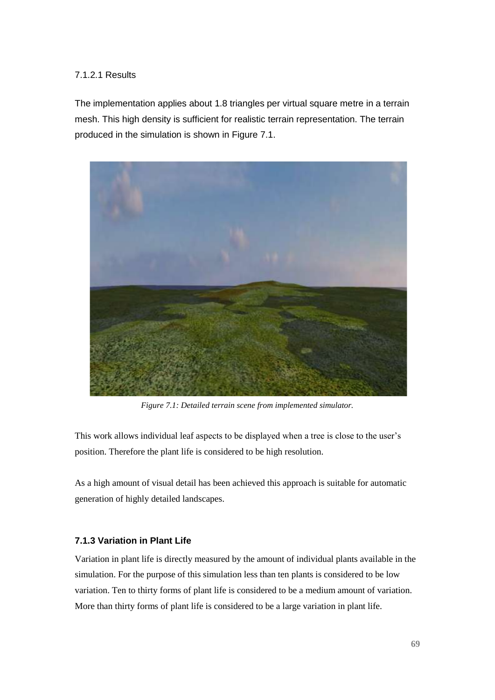## 7.1.2.1 Results

The implementation applies about 1.8 triangles per virtual square metre in a terrain mesh. This high density is sufficient for realistic terrain representation. The terrain produced in the simulation is shown in Figure 7.1.



*Figure 7.1: Detailed terrain scene from implemented simulator.*

This work allows individual leaf aspects to be displayed when a tree is close to the user's position. Therefore the plant life is considered to be high resolution.

As a high amount of visual detail has been achieved this approach is suitable for automatic generation of highly detailed landscapes.

## **7.1.3 Variation in Plant Life**

Variation in plant life is directly measured by the amount of individual plants available in the simulation. For the purpose of this simulation less than ten plants is considered to be low variation. Ten to thirty forms of plant life is considered to be a medium amount of variation. More than thirty forms of plant life is considered to be a large variation in plant life.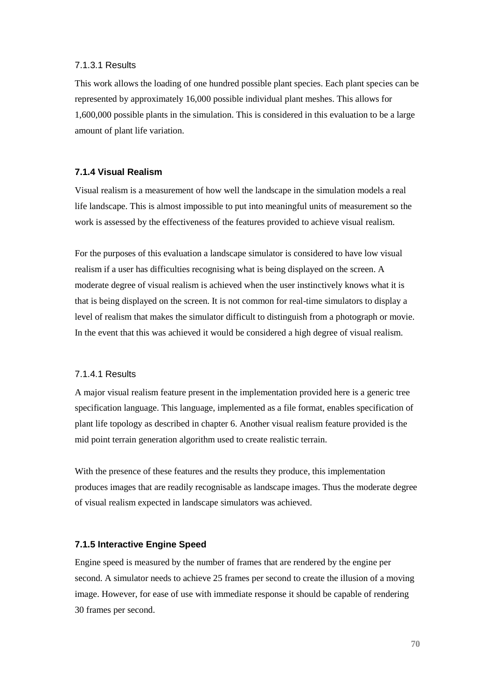#### 7.1.3.1 Results

This work allows the loading of one hundred possible plant species. Each plant species can be represented by approximately 16,000 possible individual plant meshes. This allows for 1,600,000 possible plants in the simulation. This is considered in this evaluation to be a large amount of plant life variation.

## **7.1.4 Visual Realism**

Visual realism is a measurement of how well the landscape in the simulation models a real life landscape. This is almost impossible to put into meaningful units of measurement so the work is assessed by the effectiveness of the features provided to achieve visual realism.

For the purposes of this evaluation a landscape simulator is considered to have low visual realism if a user has difficulties recognising what is being displayed on the screen. A moderate degree of visual realism is achieved when the user instinctively knows what it is that is being displayed on the screen. It is not common for real-time simulators to display a level of realism that makes the simulator difficult to distinguish from a photograph or movie. In the event that this was achieved it would be considered a high degree of visual realism.

#### 7.1.4.1 Results

A major visual realism feature present in the implementation provided here is a generic tree specification language. This language, implemented as a file format, enables specification of plant life topology as described in chapter 6. Another visual realism feature provided is the mid point terrain generation algorithm used to create realistic terrain.

With the presence of these features and the results they produce, this implementation produces images that are readily recognisable as landscape images. Thus the moderate degree of visual realism expected in landscape simulators was achieved.

#### **7.1.5 Interactive Engine Speed**

Engine speed is measured by the number of frames that are rendered by the engine per second. A simulator needs to achieve 25 frames per second to create the illusion of a moving image. However, for ease of use with immediate response it should be capable of rendering 30 frames per second.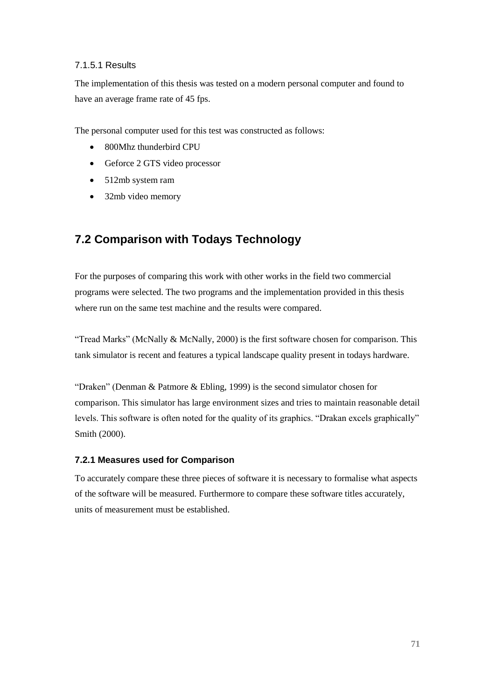## 7.1.5.1 Results

The implementation of this thesis was tested on a modern personal computer and found to have an average frame rate of 45 fps.

The personal computer used for this test was constructed as follows:

- 800Mhz thunderbird CPU
- Geforce 2 GTS video processor
- 512mb system ram
- 32mb video memory

# **7.2 Comparison with Todays Technology**

For the purposes of comparing this work with other works in the field two commercial programs were selected. The two programs and the implementation provided in this thesis where run on the same test machine and the results were compared.

"Tread Marks" (McNally & McNally, 2000) is the first software chosen for comparison. This tank simulator is recent and features a typical landscape quality present in todays hardware.

"Draken" (Denman & Patmore & Ebling, 1999) is the second simulator chosen for comparison. This simulator has large environment sizes and tries to maintain reasonable detail levels. This software is often noted for the quality of its graphics. "Drakan excels graphically" Smith (2000).

## **7.2.1 Measures used for Comparison**

To accurately compare these three pieces of software it is necessary to formalise what aspects of the software will be measured. Furthermore to compare these software titles accurately, units of measurement must be established.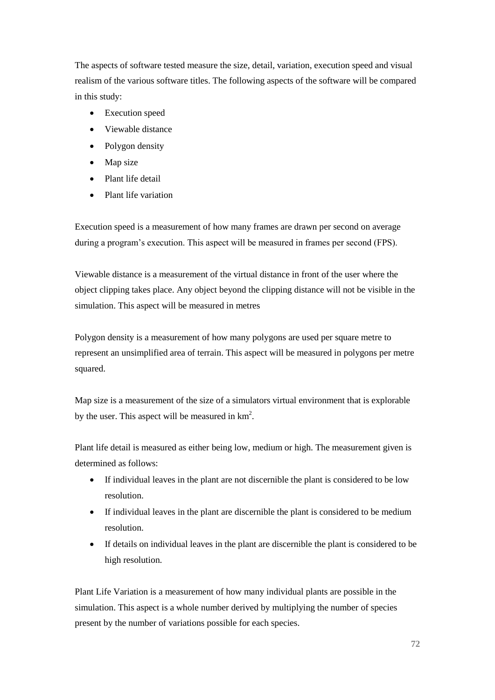The aspects of software tested measure the size, detail, variation, execution speed and visual realism of the various software titles. The following aspects of the software will be compared in this study:

- Execution speed
- Viewable distance
- Polygon density
- Map size
- Plant life detail
- Plant life variation

Execution speed is a measurement of how many frames are drawn per second on average during a program's execution. This aspect will be measured in frames per second (FPS).

Viewable distance is a measurement of the virtual distance in front of the user where the object clipping takes place. Any object beyond the clipping distance will not be visible in the simulation. This aspect will be measured in metres

Polygon density is a measurement of how many polygons are used per square metre to represent an unsimplified area of terrain. This aspect will be measured in polygons per metre squared.

Map size is a measurement of the size of a simulators virtual environment that is explorable by the user. This aspect will be measured in  $km^2$ .

Plant life detail is measured as either being low, medium or high. The measurement given is determined as follows:

- If individual leaves in the plant are not discernible the plant is considered to be low resolution.
- If individual leaves in the plant are discernible the plant is considered to be medium resolution.
- If details on individual leaves in the plant are discernible the plant is considered to be high resolution.

Plant Life Variation is a measurement of how many individual plants are possible in the simulation. This aspect is a whole number derived by multiplying the number of species present by the number of variations possible for each species.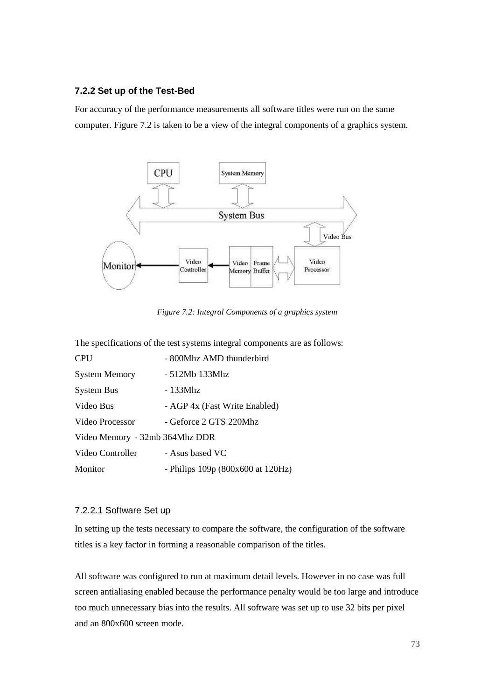### **7.2.2 Set up of the Test-Bed**

For accuracy of the performance measurements all software titles were run on the same computer. Figure 7.2 is taken to be a view of the integral components of a graphics system.



*Figure 7.2: Integral Components of a graphics system*

The specifications of the test systems integral components are as follows:

| <b>CPU</b>                     | - 800Mhz AMD thunderbird               |
|--------------------------------|----------------------------------------|
| <b>System Memory</b>           | - 512Mb 133Mhz                         |
| <b>System Bus</b>              | - 133Mhz                               |
| Video Bus                      | - AGP 4x (Fast Write Enabled)          |
| Video Processor                | - Geforce 2 GTS 220Mhz                 |
| Video Memory - 32mb 364Mhz DDR |                                        |
| Video Controller               | - Asus based VC                        |
| Monitor                        | - Philips $109p (800x600$ at $120Hz$ ) |

### 7.2.2.1 Software Set up

In setting up the tests necessary to compare the software, the configuration of the software titles is a key factor in forming a reasonable comparison of the titles.

All software was configured to run at maximum detail levels. However in no case was full screen antialiasing enabled because the performance penalty would be too large and introduce too much unnecessary bias into the results. All software was set up to use 32 bits per pixel and an 800x600 screen mode.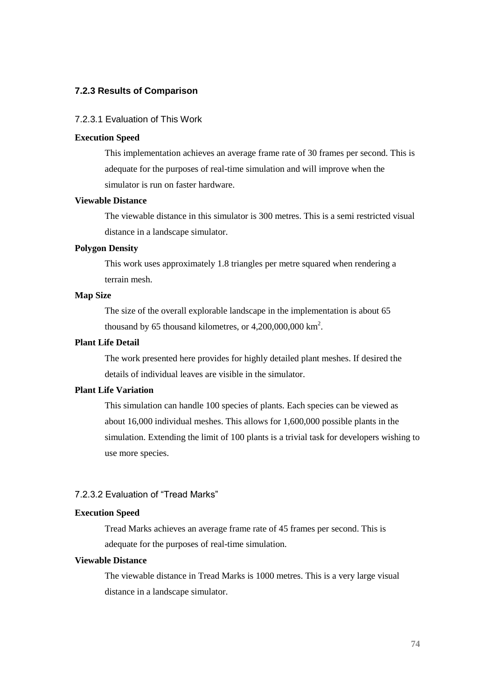### **7.2.3 Results of Comparison**

#### 7.2.3.1 Evaluation of This Work

#### **Execution Speed**

This implementation achieves an average frame rate of 30 frames per second. This is adequate for the purposes of real-time simulation and will improve when the simulator is run on faster hardware.

### **Viewable Distance**

The viewable distance in this simulator is 300 metres. This is a semi restricted visual distance in a landscape simulator.

### **Polygon Density**

This work uses approximately 1.8 triangles per metre squared when rendering a terrain mesh.

### **Map Size**

The size of the overall explorable landscape in the implementation is about 65 thousand by 65 thousand kilometres, or  $4,200,000,000$  km<sup>2</sup>.

### **Plant Life Detail**

The work presented here provides for highly detailed plant meshes. If desired the details of individual leaves are visible in the simulator.

### **Plant Life Variation**

This simulation can handle 100 species of plants. Each species can be viewed as about 16,000 individual meshes. This allows for 1,600,000 possible plants in the simulation. Extending the limit of 100 plants is a trivial task for developers wishing to use more species.

### 7.2.3.2 Evaluation of "Tread Marks"

### **Execution Speed**

Tread Marks achieves an average frame rate of 45 frames per second. This is adequate for the purposes of real-time simulation.

### **Viewable Distance**

The viewable distance in Tread Marks is 1000 metres. This is a very large visual distance in a landscape simulator.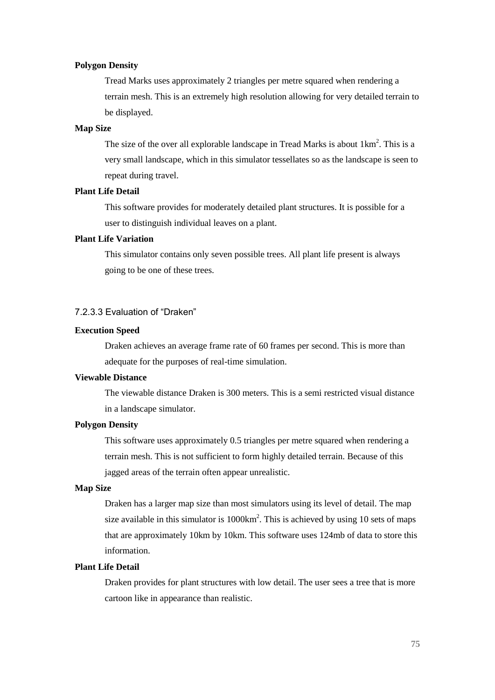#### **Polygon Density**

Tread Marks uses approximately 2 triangles per metre squared when rendering a terrain mesh. This is an extremely high resolution allowing for very detailed terrain to be displayed.

### **Map Size**

The size of the over all explorable landscape in Tread Marks is about  $1 \text{km}^2$ . This is a very small landscape, which in this simulator tessellates so as the landscape is seen to repeat during travel.

### **Plant Life Detail**

This software provides for moderately detailed plant structures. It is possible for a user to distinguish individual leaves on a plant.

### **Plant Life Variation**

This simulator contains only seven possible trees. All plant life present is always going to be one of these trees.

### 7.2.3.3 Evaluation of "Draken"

#### **Execution Speed**

Draken achieves an average frame rate of 60 frames per second. This is more than adequate for the purposes of real-time simulation.

### **Viewable Distance**

The viewable distance Draken is 300 meters. This is a semi restricted visual distance in a landscape simulator.

### **Polygon Density**

This software uses approximately 0.5 triangles per metre squared when rendering a terrain mesh. This is not sufficient to form highly detailed terrain. Because of this jagged areas of the terrain often appear unrealistic.

### **Map Size**

Draken has a larger map size than most simulators using its level of detail. The map size available in this simulator is  $1000 \text{km}^2$ . This is achieved by using 10 sets of maps that are approximately 10km by 10km. This software uses 124mb of data to store this information.

#### **Plant Life Detail**

Draken provides for plant structures with low detail. The user sees a tree that is more cartoon like in appearance than realistic.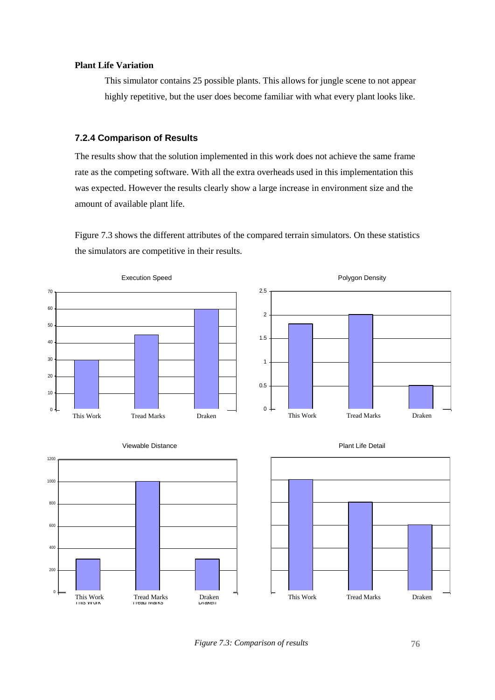#### **Plant Life Variation**

This simulator contains 25 possible plants. This allows for jungle scene to not appear highly repetitive, but the user does become familiar with what every plant looks like.

### **7.2.4 Comparison of Results**

The results show that the solution implemented in this work does not achieve the same frame rate as the competing software. With all the extra overheads used in this implementation this was expected. However the results clearly show a large increase in environment size and the amount of available plant life.

Figure 7.3 shows the different attributes of the compared terrain simulators. On these statistics the simulators are competitive in their results.



*Figure 7.3: Comparison of results*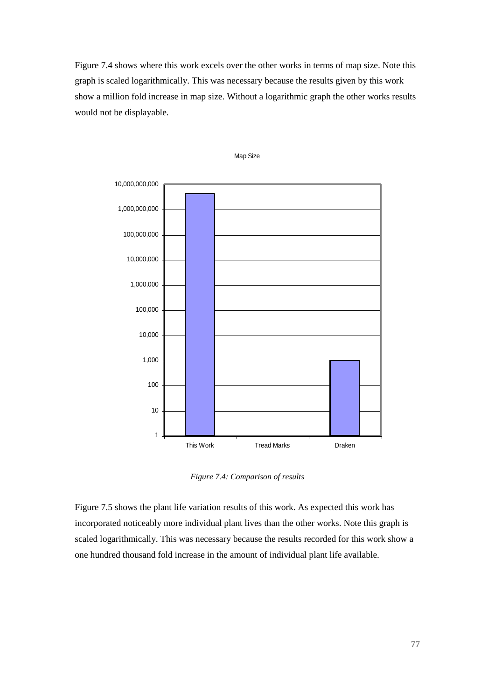Figure 7.4 shows where this work excels over the other works in terms of map size. Note this graph is scaled logarithmically. This was necessary because the results given by this work show a million fold increase in map size. Without a logarithmic graph the other works results would not be displayable.





*Figure 7.4: Comparison of results*

Figure 7.5 shows the plant life variation results of this work. As expected this work has incorporated noticeably more individual plant lives than the other works. Note this graph is scaled logarithmically. This was necessary because the results recorded for this work show a one hundred thousand fold increase in the amount of individual plant life available.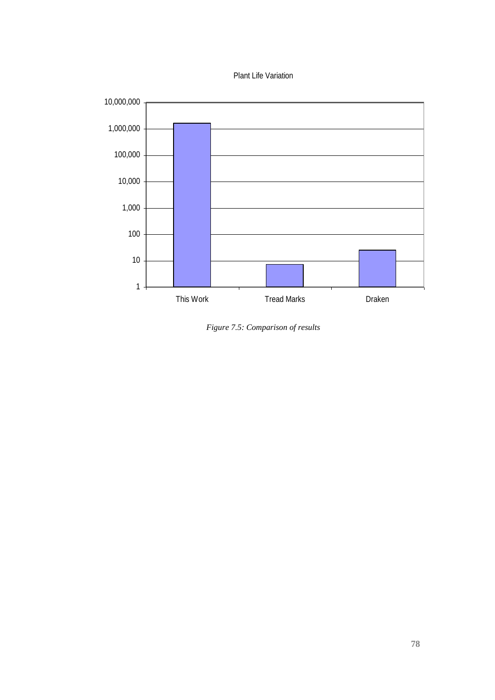



*Figure 7.5: Comparison of results*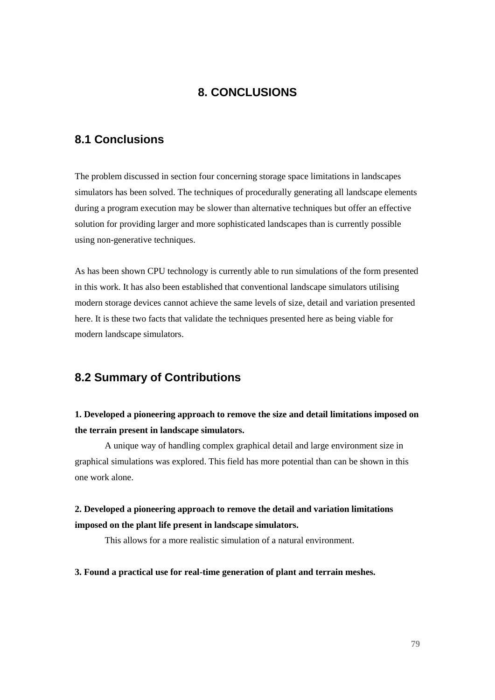# **8. CONCLUSIONS**

# **8.1 Conclusions**

The problem discussed in section four concerning storage space limitations in landscapes simulators has been solved. The techniques of procedurally generating all landscape elements during a program execution may be slower than alternative techniques but offer an effective solution for providing larger and more sophisticated landscapes than is currently possible using non-generative techniques.

As has been shown CPU technology is currently able to run simulations of the form presented in this work. It has also been established that conventional landscape simulators utilising modern storage devices cannot achieve the same levels of size, detail and variation presented here. It is these two facts that validate the techniques presented here as being viable for modern landscape simulators.

# **8.2 Summary of Contributions**

# **1. Developed a pioneering approach to remove the size and detail limitations imposed on the terrain present in landscape simulators.**

A unique way of handling complex graphical detail and large environment size in graphical simulations was explored. This field has more potential than can be shown in this one work alone.

# **2. Developed a pioneering approach to remove the detail and variation limitations imposed on the plant life present in landscape simulators.**

This allows for a more realistic simulation of a natural environment.

### **3. Found a practical use for real-time generation of plant and terrain meshes.**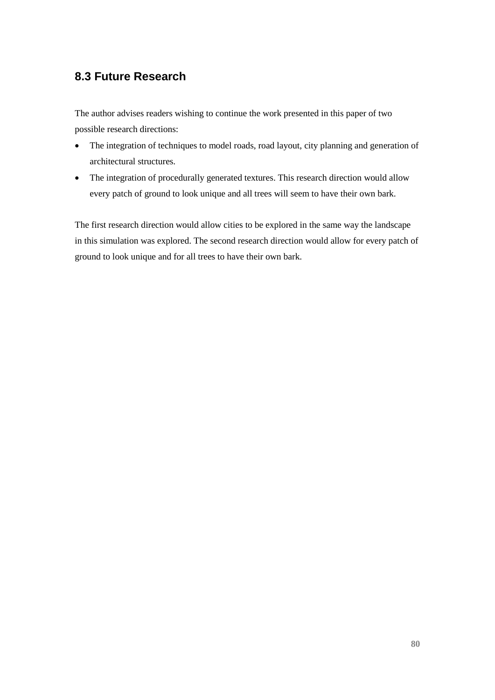# **8.3 Future Research**

The author advises readers wishing to continue the work presented in this paper of two possible research directions:

- The integration of techniques to model roads, road layout, city planning and generation of architectural structures.
- The integration of procedurally generated textures. This research direction would allow every patch of ground to look unique and all trees will seem to have their own bark.

The first research direction would allow cities to be explored in the same way the landscape in this simulation was explored. The second research direction would allow for every patch of ground to look unique and for all trees to have their own bark.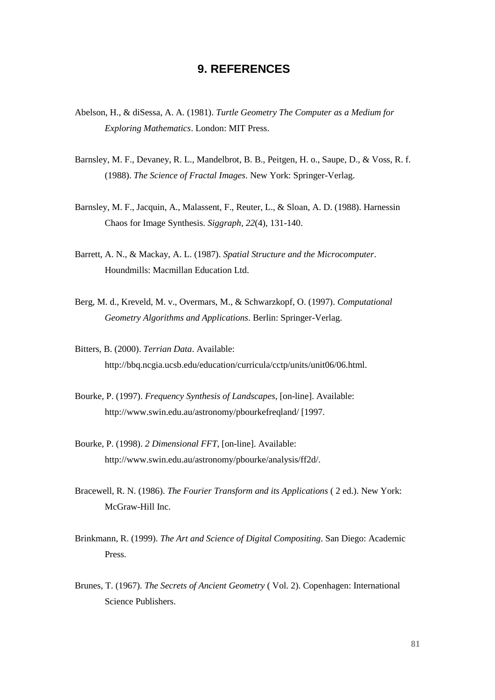# **9. REFERENCES**

- Abelson, H., & diSessa, A. A. (1981). *Turtle Geometry The Computer as a Medium for Exploring Mathematics*. London: MIT Press.
- Barnsley, M. F., Devaney, R. L., Mandelbrot, B. B., Peitgen, H. o., Saupe, D., & Voss, R. f. (1988). *The Science of Fractal Images*. New York: Springer-Verlag.
- Barnsley, M. F., Jacquin, A., Malassent, F., Reuter, L., & Sloan, A. D. (1988). Harnessin Chaos for Image Synthesis. *Siggraph, 22*(4), 131-140.
- Barrett, A. N., & Mackay, A. L. (1987). *Spatial Structure and the Microcomputer*. Houndmills: Macmillan Education Ltd.
- Berg, M. d., Kreveld, M. v., Overmars, M., & Schwarzkopf, O. (1997). *Computational Geometry Algorithms and Applications*. Berlin: Springer-Verlag.
- Bitters, B. (2000). *Terrian Data*. Available: http://bbq.ncgia.ucsb.edu/education/curricula/cctp/units/unit06/06.html.
- Bourke, P. (1997). *Frequency Synthesis of Landscapes*, [on-line]. Available: http://www.swin.edu.au/astronomy/pbourkefreqland/ [1997.
- Bourke, P. (1998). *2 Dimensional FFT*, [on-line]. Available: http://www.swin.edu.au/astronomy/pbourke/analysis/ff2d/.
- Bracewell, R. N. (1986). *The Fourier Transform and its Applications* ( 2 ed.). New York: McGraw-Hill Inc.
- Brinkmann, R. (1999). *The Art and Science of Digital Compositing*. San Diego: Academic Press.
- Brunes, T. (1967). *The Secrets of Ancient Geometry* ( Vol. 2). Copenhagen: International Science Publishers.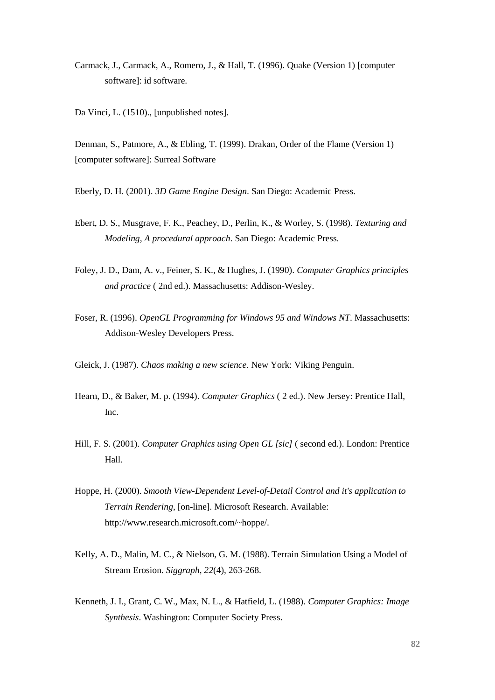- Carmack, J., Carmack, A., Romero, J., & Hall, T. (1996). Quake (Version 1) [computer software]: id software.
- Da Vinci, L. (1510)., [unpublished notes].

Denman, S., Patmore, A., & Ebling, T. (1999). Drakan, Order of the Flame (Version 1) [computer software]: Surreal Software

Eberly, D. H. (2001). *3D Game Engine Design*. San Diego: Academic Press.

- Ebert, D. S., Musgrave, F. K., Peachey, D., Perlin, K., & Worley, S. (1998). *Texturing and Modeling, A procedural approach*. San Diego: Academic Press.
- Foley, J. D., Dam, A. v., Feiner, S. K., & Hughes, J. (1990). *Computer Graphics principles and practice* ( 2nd ed.). Massachusetts: Addison-Wesley.
- Foser, R. (1996). *OpenGL Programming for Windows 95 and Windows NT*. Massachusetts: Addison-Wesley Developers Press.
- Gleick, J. (1987). *Chaos making a new science*. New York: Viking Penguin.
- Hearn, D., & Baker, M. p. (1994). *Computer Graphics* ( 2 ed.). New Jersey: Prentice Hall, Inc.
- Hill, F. S. (2001). *Computer Graphics using Open GL [sic]* ( second ed.). London: Prentice Hall.
- Hoppe, H. (2000). *Smooth View-Dependent Level-of-Detail Control and it's application to Terrain Rendering*, [on-line]. Microsoft Research. Available: http://www.research.microsoft.com/~hoppe/.
- Kelly, A. D., Malin, M. C., & Nielson, G. M. (1988). Terrain Simulation Using a Model of Stream Erosion. *Siggraph, 22*(4), 263-268.
- Kenneth, J. I., Grant, C. W., Max, N. L., & Hatfield, L. (1988). *Computer Graphics: Image Synthesis*. Washington: Computer Society Press.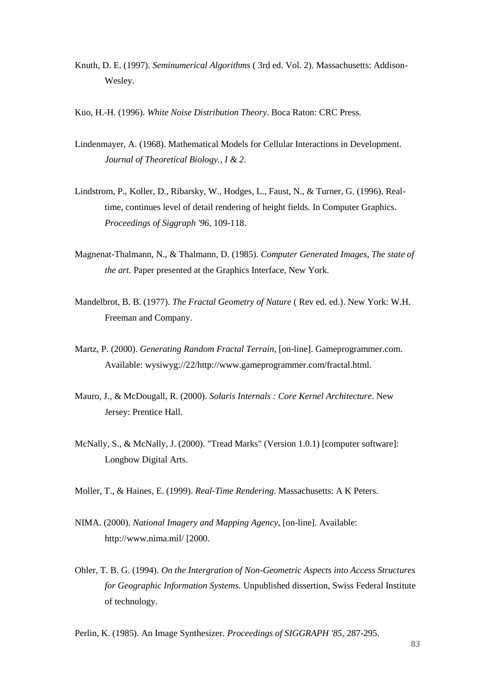- Knuth, D. E. (1997). *Seminumerical Algorithms* ( 3rd ed. Vol. 2). Massachusetts: Addison-Wesley.
- Kuo, H.-H. (1996). *White Noise Distribution Theory*. Boca Raton: CRC Press.
- Lindenmayer, A. (1968). Mathematical Models for Cellular Interactions in Development. *Journal of Theoretical Biology., I & 2*.
- Lindstrom, P., Koller, D., Ribarsky, W., Hodges, L., Faust, N., & Turner, G. (1996). Realtime, continues level of detail rendering of height fields. In Computer Graphics. *Proceedings of Siggraph '96*, 109-118.
- Magnenat-Thalmann, N., & Thalmann, D. (1985). *Computer Generated Images, The state of the art.* Paper presented at the Graphics Interface, New York.
- Mandelbrot, B. B. (1977). *The Fractal Geometry of Nature* ( Rev ed. ed.). New York: W.H. Freeman and Company.
- Martz, P. (2000). *Generating Random Fractal Terrain*, [on-line]. Gameprogrammer.com. Available: wysiwyg://22/http://www.gameprogrammer.com/fractal.html.
- Mauro, J., & McDougall, R. (2000). *Solaris Internals : Core Kernel Architecture*. New Jersey: Prentice Hall.
- McNally, S., & McNally, J. (2000). "Tread Marks" (Version 1.0.1) [computer software]: Longbow Digital Arts.
- Moller, T., & Haines, E. (1999). *Real-Time Rendering*. Massachusetts: A K Peters.
- NIMA. (2000). *National Imagery and Mapping Agency*, [on-line]. Available: http://www.nima.mil/ [2000.
- Ohler, T. B. G. (1994). *On the Intergration of Non-Geometric Aspects into Access Structures for Geographic Information Systems.* Unpublished dissertion, Swiss Federal Institute of technology.

Perlin, K. (1985). An Image Synthesizer. *Proceedings of SIGGRAPH '85*, 287-295.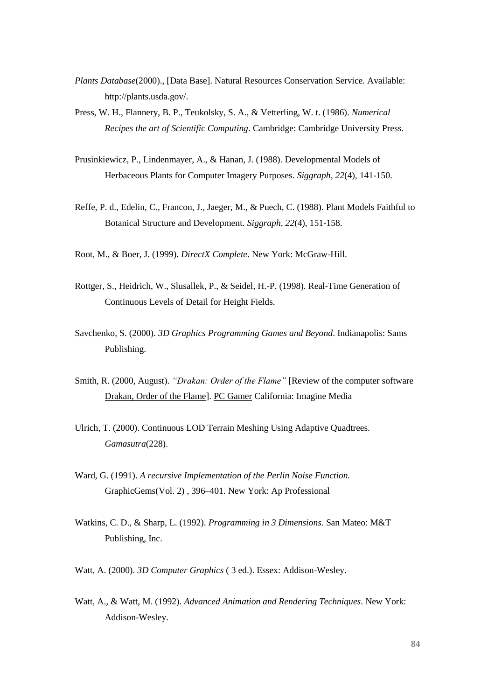- *Plants Database*(2000)., [Data Base]. Natural Resources Conservation Service. Available: http://plants.usda.gov/.
- Press, W. H., Flannery, B. P., Teukolsky, S. A., & Vetterling, W. t. (1986). *Numerical Recipes the art of Scientific Computing*. Cambridge: Cambridge University Press.
- Prusinkiewicz, P., Lindenmayer, A., & Hanan, J. (1988). Developmental Models of Herbaceous Plants for Computer Imagery Purposes. *Siggraph, 22*(4), 141-150.
- Reffe, P. d., Edelin, C., Francon, J., Jaeger, M., & Puech, C. (1988). Plant Models Faithful to Botanical Structure and Development. *Siggraph, 22*(4), 151-158.
- Root, M., & Boer, J. (1999). *DirectX Complete*. New York: McGraw-Hill.
- Rottger, S., Heidrich, W., Slusallek, P., & Seidel, H.-P. (1998). Real-Time Generation of Continuous Levels of Detail for Height Fields.
- Savchenko, S. (2000). *3D Graphics Programming Games and Beyond*. Indianapolis: Sams Publishing.
- Smith, R. (2000, August). *"Drakan: Order of the Flame"* [Review of the computer software Drakan, Order of the Flame]. PC Gamer California: Imagine Media
- Ulrich, T. (2000). Continuous LOD Terrain Meshing Using Adaptive Quadtrees. *Gamasutra*(228).
- Ward, G. (1991). *A recursive Implementation of the Perlin Noise Function.*  GraphicGems(Vol. 2) , 396–401. New York: Ap Professional
- Watkins, C. D., & Sharp, L. (1992). *Programming in 3 Dimensions*. San Mateo: M&T Publishing, Inc.
- Watt, A. (2000). *3D Computer Graphics* ( 3 ed.). Essex: Addison-Wesley.
- Watt, A., & Watt, M. (1992). *Advanced Animation and Rendering Techniques*. New York: Addison-Wesley.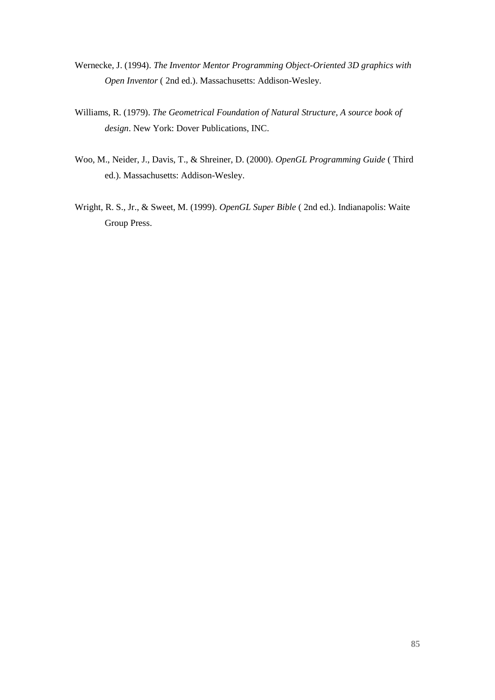- Wernecke, J. (1994). *The Inventor Mentor Programming Object-Oriented 3D graphics with Open Inventor* ( 2nd ed.). Massachusetts: Addison-Wesley.
- Williams, R. (1979). *The Geometrical Foundation of Natural Structure, A source book of design*. New York: Dover Publications, INC.
- Woo, M., Neider, J., Davis, T., & Shreiner, D. (2000). *OpenGL Programming Guide* ( Third ed.). Massachusetts: Addison-Wesley.
- Wright, R. S., Jr., & Sweet, M. (1999). *OpenGL Super Bible* ( 2nd ed.). Indianapolis: Waite Group Press.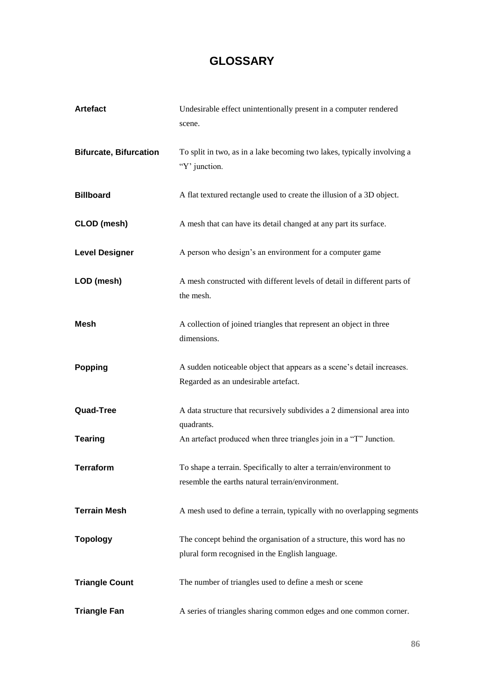# **GLOSSARY**

| <b>Artefact</b>               | Undesirable effect unintentionally present in a computer rendered<br>scene.                                             |
|-------------------------------|-------------------------------------------------------------------------------------------------------------------------|
| <b>Bifurcate, Bifurcation</b> | To split in two, as in a lake becoming two lakes, typically involving a<br>"Y' junction.                                |
| <b>Billboard</b>              | A flat textured rectangle used to create the illusion of a 3D object.                                                   |
| <b>CLOD</b> (mesh)            | A mesh that can have its detail changed at any part its surface.                                                        |
| <b>Level Designer</b>         | A person who design's an environment for a computer game                                                                |
| LOD (mesh)                    | A mesh constructed with different levels of detail in different parts of<br>the mesh.                                   |
| <b>Mesh</b>                   | A collection of joined triangles that represent an object in three<br>dimensions.                                       |
| <b>Popping</b>                | A sudden noticeable object that appears as a scene's detail increases.<br>Regarded as an undesirable artefact.          |
| Quad-Tree                     | A data structure that recursively subdivides a 2 dimensional area into<br>quadrants.                                    |
| <b>Tearing</b>                | An artefact produced when three triangles join in a "T" Junction.                                                       |
| <b>Terraform</b>              | To shape a terrain. Specifically to alter a terrain/environment to<br>resemble the earths natural terrain/environment.  |
| <b>Terrain Mesh</b>           | A mesh used to define a terrain, typically with no overlapping segments                                                 |
| <b>Topology</b>               | The concept behind the organisation of a structure, this word has no<br>plural form recognised in the English language. |
| <b>Triangle Count</b>         | The number of triangles used to define a mesh or scene                                                                  |
| <b>Triangle Fan</b>           | A series of triangles sharing common edges and one common corner.                                                       |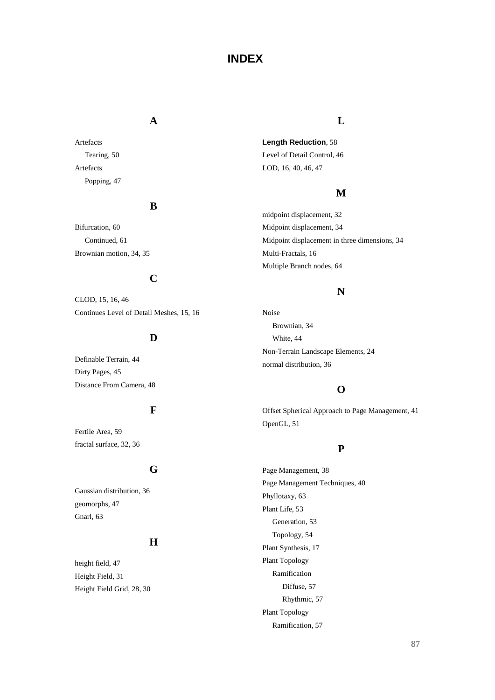# **INDEX**

#### **A**

Artefacts Tearing, 50 Artefacts Popping, 47

### **B**

Bifurcation, 60 Continued, 61 Brownian motion, 34, 35

# **C**

CLOD, 15, 16, 46 Continues Level of Detail Meshes, 15, 16

### **D**

Definable Terrain, 44 Dirty Pages, 45 Distance From Camera, 48

### **F**

Fertile Area, 59 fractal surface, 32, 36

### **G**

Gaussian distribution, 36 geomorphs, 47 Gnarl, 63

### **H**

height field, 47 Height Field, 31 Height Field Grid, 28, 30

### **L**

**Length Reduction**, 58 Level of Detail Control, 46 LOD, 16, 40, 46, 47

### **M**

midpoint displacement, 32 Midpoint displacement, 34 Midpoint displacement in three dimensions, 34 Multi-Fractals, 16 Multiple Branch nodes, 64

# **N**

Noise Brownian, 34 White, 44 Non-Terrain Landscape Elements, 24 normal distribution, 36

# **O**

Offset Spherical Approach to Page Management, 41 OpenGL, 51

### **P**

Page Management, 38 Page Management Techniques, 40 Phyllotaxy, 63 Plant Life, 53 Generation, 53 Topology, 54 Plant Synthesis, 17 Plant Topology Ramification Diffuse, 57 Rhythmic, 57 Plant Topology Ramification, 57